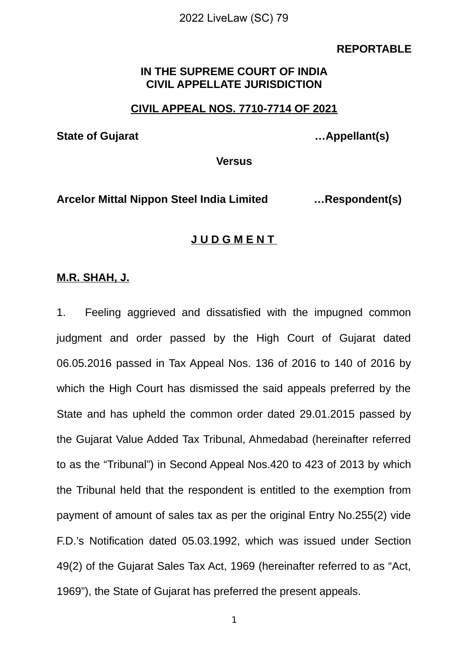#### **REPORTABLE**

## **IN THE SUPREME COURT OF INDIA CIVIL APPELLATE JURISDICTION**

## **CIVIL APPEAL NOS. 7710-7714 OF 2021**

**State of Gujarat …Appellant(s)**

**Versus**

**Arcelor Mittal Nippon Steel India Limited …Respondent(s)**

## **J U D G M E N T**

### **M.R. SHAH, J.**

1. Feeling aggrieved and dissatisfied with the impugned common judgment and order passed by the High Court of Gujarat dated 06.05.2016 passed in Tax Appeal Nos. 136 of 2016 to 140 of 2016 by which the High Court has dismissed the said appeals preferred by the State and has upheld the common order dated 29.01.2015 passed by the Gujarat Value Added Tax Tribunal, Ahmedabad (hereinafter referred to as the "Tribunal") in Second Appeal Nos.420 to 423 of 2013 by which the Tribunal held that the respondent is entitled to the exemption from payment of amount of sales tax as per the original Entry No.255(2) vide F.D.'s Notification dated 05.03.1992, which was issued under Section 49(2) of the Gujarat Sales Tax Act, 1969 (hereinafter referred to as "Act, 1969"), the State of Gujarat has preferred the present appeals.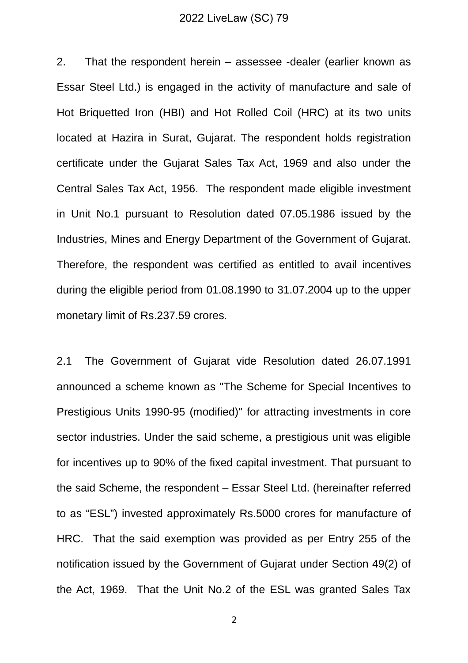2. That the respondent herein – assessee -dealer (earlier known as Essar Steel Ltd.) is engaged in the activity of manufacture and sale of Hot Briquetted Iron (HBI) and Hot Rolled Coil (HRC) at its two units located at Hazira in Surat, Gujarat. The respondent holds registration certificate under the Gujarat Sales Tax Act, 1969 and also under the Central Sales Tax Act, 1956. The respondent made eligible investment in Unit No.1 pursuant to Resolution dated 07.05.1986 issued by the Industries, Mines and Energy Department of the Government of Gujarat. Therefore, the respondent was certified as entitled to avail incentives during the eligible period from 01.08.1990 to 31.07.2004 up to the upper monetary limit of Rs.237.59 crores.

2.1 The Government of Gujarat vide Resolution dated 26.07.1991 announced a scheme known as "The Scheme for Special Incentives to Prestigious Units 1990-95 (modified)" for attracting investments in core sector industries. Under the said scheme, a prestigious unit was eligible for incentives up to 90% of the fixed capital investment. That pursuant to the said Scheme, the respondent – Essar Steel Ltd. (hereinafter referred to as "ESL") invested approximately Rs.5000 crores for manufacture of HRC. That the said exemption was provided as per Entry 255 of the notification issued by the Government of Gujarat under Section 49(2) of the Act, 1969. That the Unit No.2 of the ESL was granted Sales Tax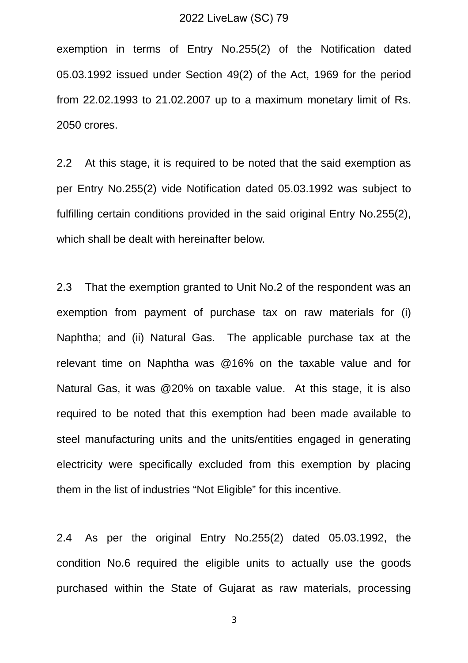exemption in terms of Entry No.255(2) of the Notification dated 05.03.1992 issued under Section 49(2) of the Act, 1969 for the period from 22.02.1993 to 21.02.2007 up to a maximum monetary limit of Rs. 2050 crores.

2.2 At this stage, it is required to be noted that the said exemption as per Entry No.255(2) vide Notification dated 05.03.1992 was subject to fulfilling certain conditions provided in the said original Entry No.255(2), which shall be dealt with hereinafter below.

2.3 That the exemption granted to Unit No.2 of the respondent was an exemption from payment of purchase tax on raw materials for (i) Naphtha; and (ii) Natural Gas. The applicable purchase tax at the relevant time on Naphtha was @16% on the taxable value and for Natural Gas, it was @20% on taxable value. At this stage, it is also required to be noted that this exemption had been made available to steel manufacturing units and the units/entities engaged in generating electricity were specifically excluded from this exemption by placing them in the list of industries "Not Eligible" for this incentive.

2.4 As per the original Entry No.255(2) dated 05.03.1992, the condition No.6 required the eligible units to actually use the goods purchased within the State of Gujarat as raw materials, processing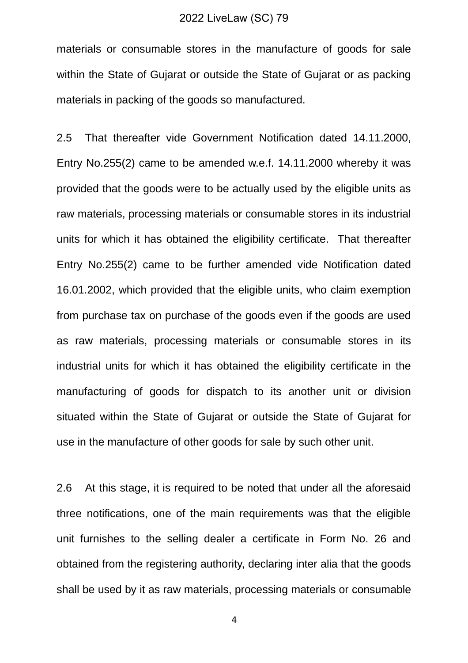materials or consumable stores in the manufacture of goods for sale within the State of Gujarat or outside the State of Gujarat or as packing materials in packing of the goods so manufactured.

2.5 That thereafter vide Government Notification dated 14.11.2000, Entry No.255(2) came to be amended w.e.f. 14.11.2000 whereby it was provided that the goods were to be actually used by the eligible units as raw materials, processing materials or consumable stores in its industrial units for which it has obtained the eligibility certificate. That thereafter Entry No.255(2) came to be further amended vide Notification dated 16.01.2002, which provided that the eligible units, who claim exemption from purchase tax on purchase of the goods even if the goods are used as raw materials, processing materials or consumable stores in its industrial units for which it has obtained the eligibility certificate in the manufacturing of goods for dispatch to its another unit or division situated within the State of Gujarat or outside the State of Gujarat for use in the manufacture of other goods for sale by such other unit.

2.6 At this stage, it is required to be noted that under all the aforesaid three notifications, one of the main requirements was that the eligible unit furnishes to the selling dealer a certificate in Form No. 26 and obtained from the registering authority, declaring inter alia that the goods shall be used by it as raw materials, processing materials or consumable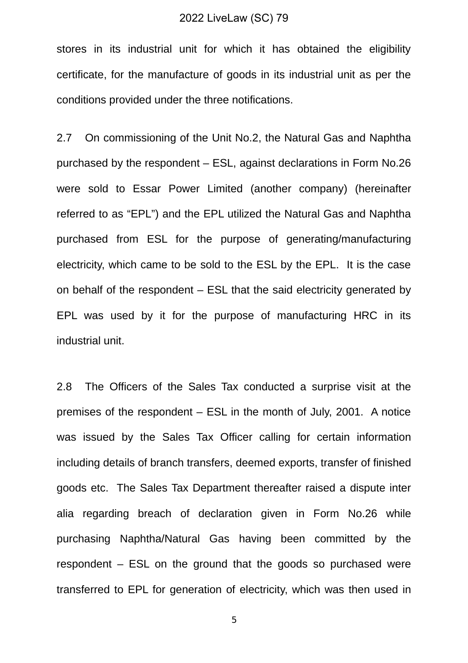stores in its industrial unit for which it has obtained the eligibility certificate, for the manufacture of goods in its industrial unit as per the conditions provided under the three notifications.

2.7 On commissioning of the Unit No.2, the Natural Gas and Naphtha purchased by the respondent – ESL, against declarations in Form No.26 were sold to Essar Power Limited (another company) (hereinafter referred to as "EPL") and the EPL utilized the Natural Gas and Naphtha purchased from ESL for the purpose of generating/manufacturing electricity, which came to be sold to the ESL by the EPL. It is the case on behalf of the respondent – ESL that the said electricity generated by EPL was used by it for the purpose of manufacturing HRC in its industrial unit.

2.8 The Officers of the Sales Tax conducted a surprise visit at the premises of the respondent – ESL in the month of July, 2001. A notice was issued by the Sales Tax Officer calling for certain information including details of branch transfers, deemed exports, transfer of finished goods etc. The Sales Tax Department thereafter raised a dispute inter alia regarding breach of declaration given in Form No.26 while purchasing Naphtha/Natural Gas having been committed by the respondent – ESL on the ground that the goods so purchased were transferred to EPL for generation of electricity, which was then used in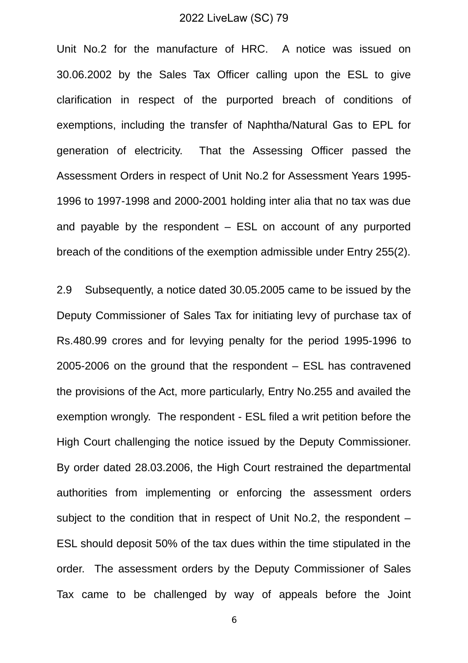Unit No.2 for the manufacture of HRC. A notice was issued on 30.06.2002 by the Sales Tax Officer calling upon the ESL to give clarification in respect of the purported breach of conditions of exemptions, including the transfer of Naphtha/Natural Gas to EPL for generation of electricity. That the Assessing Officer passed the Assessment Orders in respect of Unit No.2 for Assessment Years 1995- 1996 to 1997-1998 and 2000-2001 holding inter alia that no tax was due and payable by the respondent  $-$  ESL on account of any purported breach of the conditions of the exemption admissible under Entry 255(2).

2.9 Subsequently, a notice dated 30.05.2005 came to be issued by the Deputy Commissioner of Sales Tax for initiating levy of purchase tax of Rs.480.99 crores and for levying penalty for the period 1995-1996 to 2005-2006 on the ground that the respondent – ESL has contravened the provisions of the Act, more particularly, Entry No.255 and availed the exemption wrongly. The respondent - ESL filed a writ petition before the High Court challenging the notice issued by the Deputy Commissioner. By order dated 28.03.2006, the High Court restrained the departmental authorities from implementing or enforcing the assessment orders subject to the condition that in respect of Unit No.2, the respondent – ESL should deposit 50% of the tax dues within the time stipulated in the order. The assessment orders by the Deputy Commissioner of Sales Tax came to be challenged by way of appeals before the Joint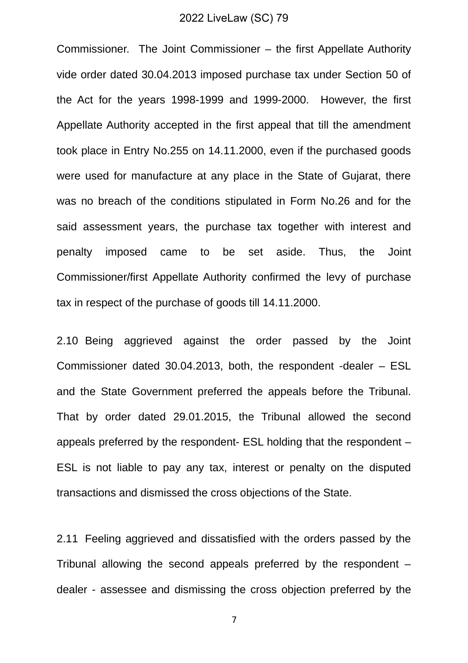Commissioner. The Joint Commissioner – the first Appellate Authority vide order dated 30.04.2013 imposed purchase tax under Section 50 of the Act for the years 1998-1999 and 1999-2000. However, the first Appellate Authority accepted in the first appeal that till the amendment took place in Entry No.255 on 14.11.2000, even if the purchased goods were used for manufacture at any place in the State of Gujarat, there was no breach of the conditions stipulated in Form No.26 and for the said assessment years, the purchase tax together with interest and penalty imposed came to be set aside. Thus, the Joint Commissioner/first Appellate Authority confirmed the levy of purchase tax in respect of the purchase of goods till 14.11.2000.

2.10 Being aggrieved against the order passed by the Joint Commissioner dated 30.04.2013, both, the respondent -dealer – ESL and the State Government preferred the appeals before the Tribunal. That by order dated 29.01.2015, the Tribunal allowed the second appeals preferred by the respondent- ESL holding that the respondent – ESL is not liable to pay any tax, interest or penalty on the disputed transactions and dismissed the cross objections of the State.

2.11 Feeling aggrieved and dissatisfied with the orders passed by the Tribunal allowing the second appeals preferred by the respondent – dealer - assessee and dismissing the cross objection preferred by the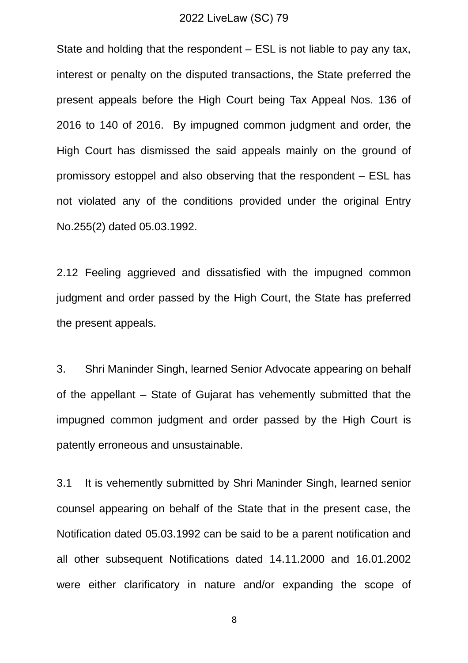State and holding that the respondent – ESL is not liable to pay any tax, interest or penalty on the disputed transactions, the State preferred the present appeals before the High Court being Tax Appeal Nos. 136 of 2016 to 140 of 2016. By impugned common judgment and order, the High Court has dismissed the said appeals mainly on the ground of promissory estoppel and also observing that the respondent – ESL has not violated any of the conditions provided under the original Entry No.255(2) dated 05.03.1992.

2.12 Feeling aggrieved and dissatisfied with the impugned common judgment and order passed by the High Court, the State has preferred the present appeals.

3. Shri Maninder Singh, learned Senior Advocate appearing on behalf of the appellant – State of Gujarat has vehemently submitted that the impugned common judgment and order passed by the High Court is patently erroneous and unsustainable.

3.1 It is vehemently submitted by Shri Maninder Singh, learned senior counsel appearing on behalf of the State that in the present case, the Notification dated 05.03.1992 can be said to be a parent notification and all other subsequent Notifications dated 14.11.2000 and 16.01.2002 were either clarificatory in nature and/or expanding the scope of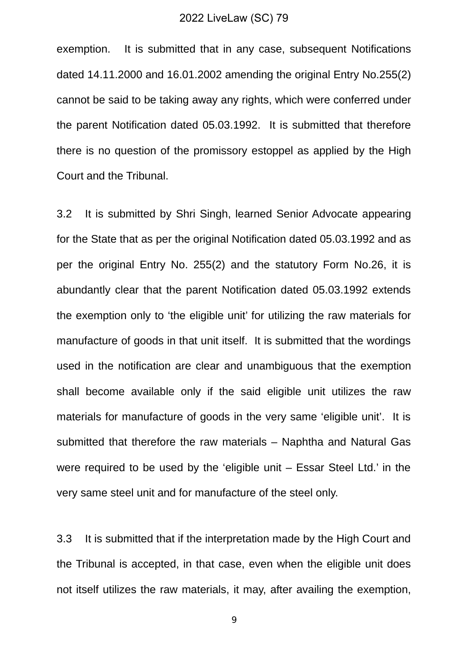exemption. It is submitted that in any case, subsequent Notifications dated 14.11.2000 and 16.01.2002 amending the original Entry No.255(2) cannot be said to be taking away any rights, which were conferred under the parent Notification dated 05.03.1992. It is submitted that therefore there is no question of the promissory estoppel as applied by the High Court and the Tribunal.

3.2 It is submitted by Shri Singh, learned Senior Advocate appearing for the State that as per the original Notification dated 05.03.1992 and as per the original Entry No. 255(2) and the statutory Form No.26, it is abundantly clear that the parent Notification dated 05.03.1992 extends the exemption only to 'the eligible unit' for utilizing the raw materials for manufacture of goods in that unit itself. It is submitted that the wordings used in the notification are clear and unambiguous that the exemption shall become available only if the said eligible unit utilizes the raw materials for manufacture of goods in the very same 'eligible unit'. It is submitted that therefore the raw materials – Naphtha and Natural Gas were required to be used by the 'eligible unit – Essar Steel Ltd.' in the very same steel unit and for manufacture of the steel only.

3.3 It is submitted that if the interpretation made by the High Court and the Tribunal is accepted, in that case, even when the eligible unit does not itself utilizes the raw materials, it may, after availing the exemption,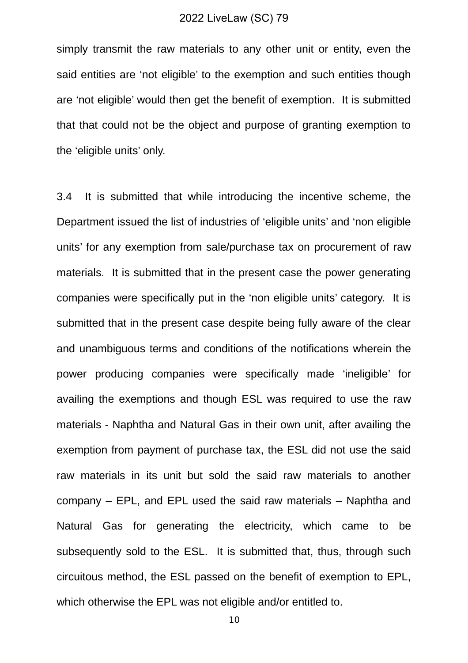simply transmit the raw materials to any other unit or entity, even the said entities are 'not eligible' to the exemption and such entities though are 'not eligible' would then get the benefit of exemption. It is submitted that that could not be the object and purpose of granting exemption to the 'eligible units' only.

3.4 It is submitted that while introducing the incentive scheme, the Department issued the list of industries of 'eligible units' and 'non eligible units' for any exemption from sale/purchase tax on procurement of raw materials. It is submitted that in the present case the power generating companies were specifically put in the 'non eligible units' category. It is submitted that in the present case despite being fully aware of the clear and unambiguous terms and conditions of the notifications wherein the power producing companies were specifically made 'ineligible' for availing the exemptions and though ESL was required to use the raw materials - Naphtha and Natural Gas in their own unit, after availing the exemption from payment of purchase tax, the ESL did not use the said raw materials in its unit but sold the said raw materials to another company – EPL, and EPL used the said raw materials – Naphtha and Natural Gas for generating the electricity, which came to be subsequently sold to the ESL. It is submitted that, thus, through such circuitous method, the ESL passed on the benefit of exemption to EPL, which otherwise the EPL was not eligible and/or entitled to.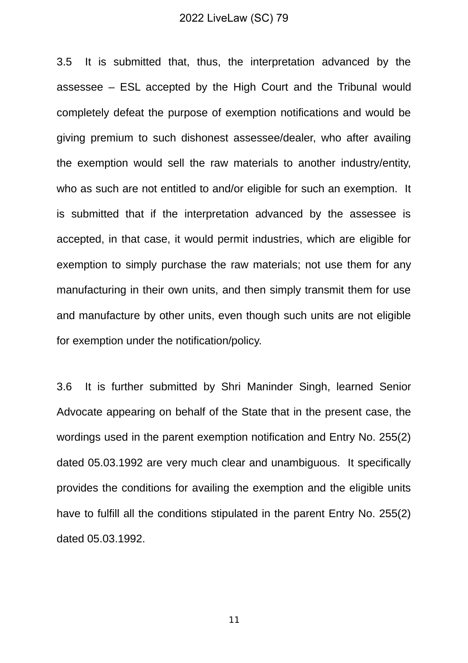3.5 It is submitted that, thus, the interpretation advanced by the assessee – ESL accepted by the High Court and the Tribunal would completely defeat the purpose of exemption notifications and would be giving premium to such dishonest assessee/dealer, who after availing the exemption would sell the raw materials to another industry/entity, who as such are not entitled to and/or eligible for such an exemption. It is submitted that if the interpretation advanced by the assessee is accepted, in that case, it would permit industries, which are eligible for exemption to simply purchase the raw materials; not use them for any manufacturing in their own units, and then simply transmit them for use and manufacture by other units, even though such units are not eligible for exemption under the notification/policy.

3.6 It is further submitted by Shri Maninder Singh, learned Senior Advocate appearing on behalf of the State that in the present case, the wordings used in the parent exemption notification and Entry No. 255(2) dated 05.03.1992 are very much clear and unambiguous. It specifically provides the conditions for availing the exemption and the eligible units have to fulfill all the conditions stipulated in the parent Entry No. 255(2) dated 05.03.1992.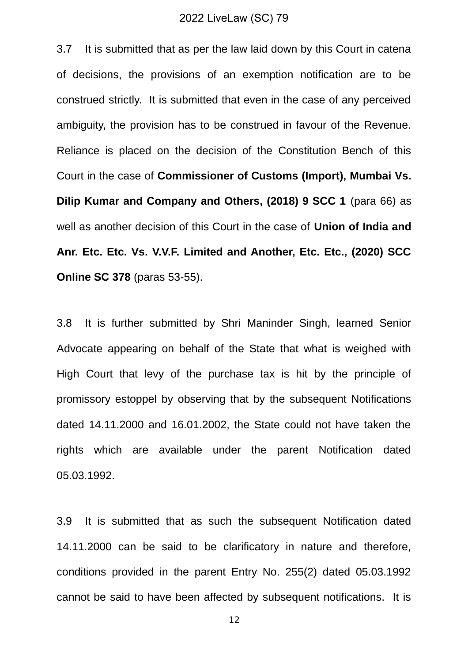3.7 It is submitted that as per the law laid down by this Court in catena of decisions, the provisions of an exemption notification are to be construed strictly. It is submitted that even in the case of any perceived ambiguity, the provision has to be construed in favour of the Revenue. Reliance is placed on the decision of the Constitution Bench of this Court in the case of **Commissioner of Customs (Import), Mumbai Vs. Dilip Kumar and Company and Others, (2018) 9 SCC 1** (para 66) as well as another decision of this Court in the case of **Union of India and Anr. Etc. Etc. Vs. V.V.F. Limited and Another, Etc. Etc., (2020) SCC Online SC 378** (paras 53-55).

3.8 It is further submitted by Shri Maninder Singh, learned Senior Advocate appearing on behalf of the State that what is weighed with High Court that levy of the purchase tax is hit by the principle of promissory estoppel by observing that by the subsequent Notifications dated 14.11.2000 and 16.01.2002, the State could not have taken the rights which are available under the parent Notification dated 05.03.1992.

3.9 It is submitted that as such the subsequent Notification dated 14.11.2000 can be said to be clarificatory in nature and therefore, conditions provided in the parent Entry No. 255(2) dated 05.03.1992 cannot be said to have been affected by subsequent notifications. It is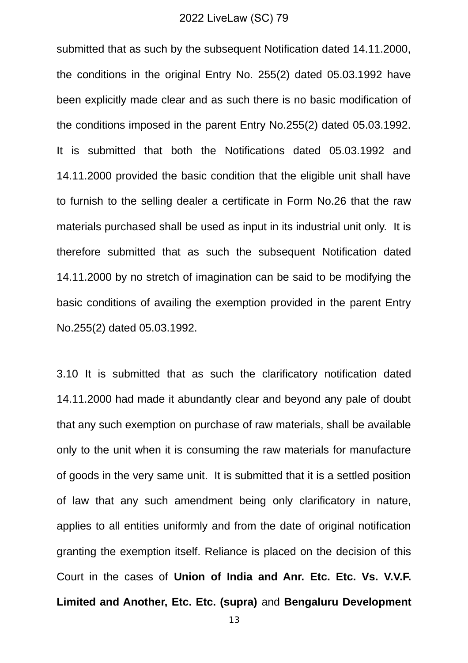submitted that as such by the subsequent Notification dated 14.11.2000, the conditions in the original Entry No. 255(2) dated 05.03.1992 have been explicitly made clear and as such there is no basic modification of the conditions imposed in the parent Entry No.255(2) dated 05.03.1992. It is submitted that both the Notifications dated 05.03.1992 and 14.11.2000 provided the basic condition that the eligible unit shall have to furnish to the selling dealer a certificate in Form No.26 that the raw materials purchased shall be used as input in its industrial unit only. It is therefore submitted that as such the subsequent Notification dated 14.11.2000 by no stretch of imagination can be said to be modifying the basic conditions of availing the exemption provided in the parent Entry No.255(2) dated 05.03.1992.

3.10 It is submitted that as such the clarificatory notification dated 14.11.2000 had made it abundantly clear and beyond any pale of doubt that any such exemption on purchase of raw materials, shall be available only to the unit when it is consuming the raw materials for manufacture of goods in the very same unit. It is submitted that it is a settled position of law that any such amendment being only clarificatory in nature, applies to all entities uniformly and from the date of original notification granting the exemption itself. Reliance is placed on the decision of this Court in the cases of **Union of India and Anr. Etc. Etc. Vs. V.V.F. Limited and Another, Etc. Etc. (supra)** and **Bengaluru Development**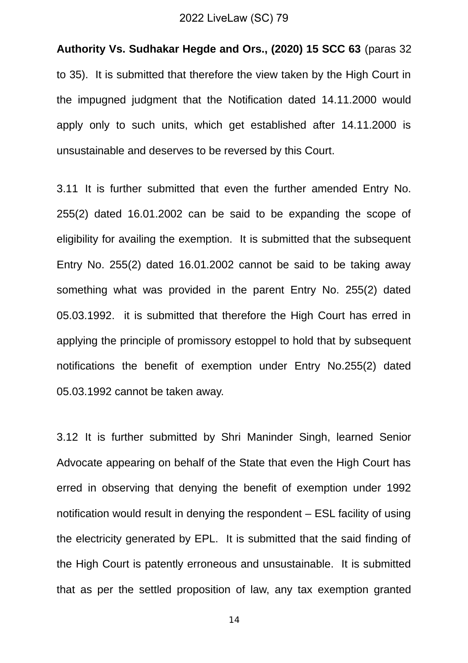**Authority Vs. Sudhakar Hegde and Ors., (2020) 15 SCC 63** (paras 32 to 35). It is submitted that therefore the view taken by the High Court in the impugned judgment that the Notification dated 14.11.2000 would apply only to such units, which get established after 14.11.2000 is unsustainable and deserves to be reversed by this Court.

3.11 It is further submitted that even the further amended Entry No. 255(2) dated 16.01.2002 can be said to be expanding the scope of eligibility for availing the exemption. It is submitted that the subsequent Entry No. 255(2) dated 16.01.2002 cannot be said to be taking away something what was provided in the parent Entry No. 255(2) dated 05.03.1992. it is submitted that therefore the High Court has erred in applying the principle of promissory estoppel to hold that by subsequent notifications the benefit of exemption under Entry No.255(2) dated 05.03.1992 cannot be taken away.

3.12 It is further submitted by Shri Maninder Singh, learned Senior Advocate appearing on behalf of the State that even the High Court has erred in observing that denying the benefit of exemption under 1992 notification would result in denying the respondent – ESL facility of using the electricity generated by EPL. It is submitted that the said finding of the High Court is patently erroneous and unsustainable. It is submitted that as per the settled proposition of law, any tax exemption granted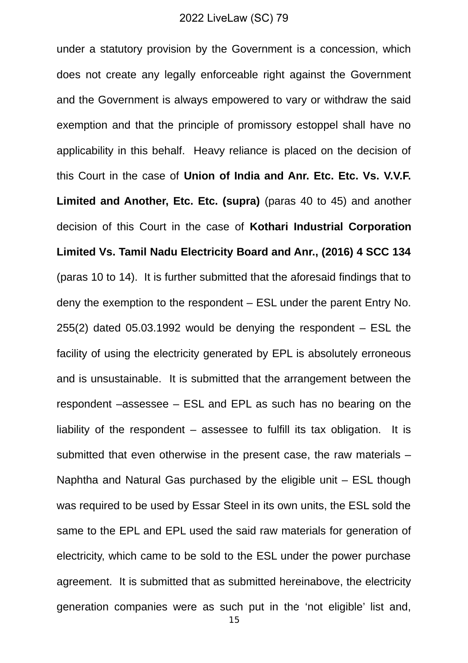under a statutory provision by the Government is a concession, which does not create any legally enforceable right against the Government and the Government is always empowered to vary or withdraw the said exemption and that the principle of promissory estoppel shall have no applicability in this behalf. Heavy reliance is placed on the decision of this Court in the case of **Union of India and Anr. Etc. Etc. Vs. V.V.F. Limited and Another, Etc. Etc. (supra)** (paras 40 to 45) and another decision of this Court in the case of **Kothari Industrial Corporation Limited Vs. Tamil Nadu Electricity Board and Anr., (2016) 4 SCC 134** (paras 10 to 14). It is further submitted that the aforesaid findings that to deny the exemption to the respondent – ESL under the parent Entry No. 255(2) dated 05.03.1992 would be denying the respondent – ESL the facility of using the electricity generated by EPL is absolutely erroneous and is unsustainable. It is submitted that the arrangement between the respondent –assessee – ESL and EPL as such has no bearing on the liability of the respondent – assessee to fulfill its tax obligation. It is submitted that even otherwise in the present case, the raw materials – Naphtha and Natural Gas purchased by the eligible unit – ESL though was required to be used by Essar Steel in its own units, the ESL sold the same to the EPL and EPL used the said raw materials for generation of electricity, which came to be sold to the ESL under the power purchase agreement. It is submitted that as submitted hereinabove, the electricity generation companies were as such put in the 'not eligible' list and,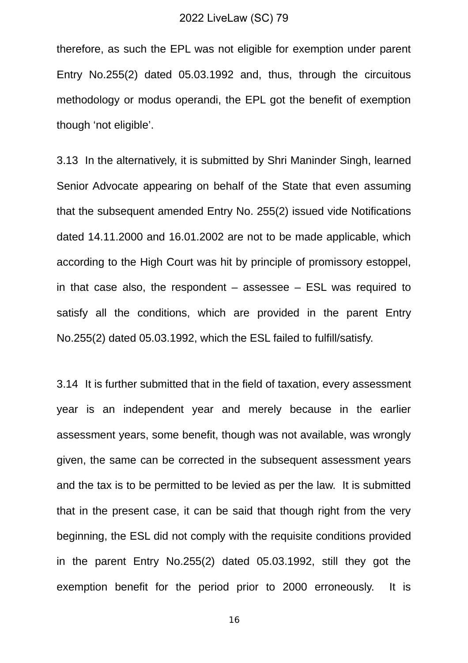therefore, as such the EPL was not eligible for exemption under parent Entry No.255(2) dated 05.03.1992 and, thus, through the circuitous methodology or modus operandi, the EPL got the benefit of exemption though 'not eligible'.

3.13 In the alternatively, it is submitted by Shri Maninder Singh, learned Senior Advocate appearing on behalf of the State that even assuming that the subsequent amended Entry No. 255(2) issued vide Notifications dated 14.11.2000 and 16.01.2002 are not to be made applicable, which according to the High Court was hit by principle of promissory estoppel, in that case also, the respondent  $-$  assessee  $-$  ESL was required to satisfy all the conditions, which are provided in the parent Entry No.255(2) dated 05.03.1992, which the ESL failed to fulfill/satisfy.

3.14 It is further submitted that in the field of taxation, every assessment year is an independent year and merely because in the earlier assessment years, some benefit, though was not available, was wrongly given, the same can be corrected in the subsequent assessment years and the tax is to be permitted to be levied as per the law. It is submitted that in the present case, it can be said that though right from the very beginning, the ESL did not comply with the requisite conditions provided in the parent Entry No.255(2) dated 05.03.1992, still they got the exemption benefit for the period prior to 2000 erroneously. It is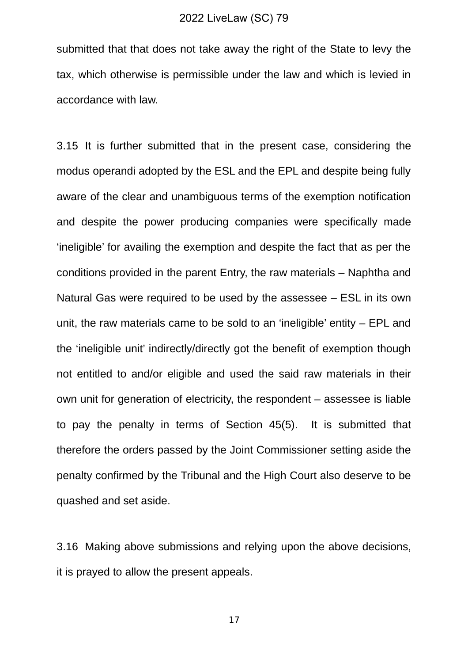submitted that that does not take away the right of the State to levy the tax, which otherwise is permissible under the law and which is levied in accordance with law.

3.15 It is further submitted that in the present case, considering the modus operandi adopted by the ESL and the EPL and despite being fully aware of the clear and unambiguous terms of the exemption notification and despite the power producing companies were specifically made 'ineligible' for availing the exemption and despite the fact that as per the conditions provided in the parent Entry, the raw materials – Naphtha and Natural Gas were required to be used by the assessee – ESL in its own unit, the raw materials came to be sold to an 'ineligible' entity – EPL and the 'ineligible unit' indirectly/directly got the benefit of exemption though not entitled to and/or eligible and used the said raw materials in their own unit for generation of electricity, the respondent – assessee is liable to pay the penalty in terms of Section 45(5). It is submitted that therefore the orders passed by the Joint Commissioner setting aside the penalty confirmed by the Tribunal and the High Court also deserve to be quashed and set aside.

3.16 Making above submissions and relying upon the above decisions, it is prayed to allow the present appeals.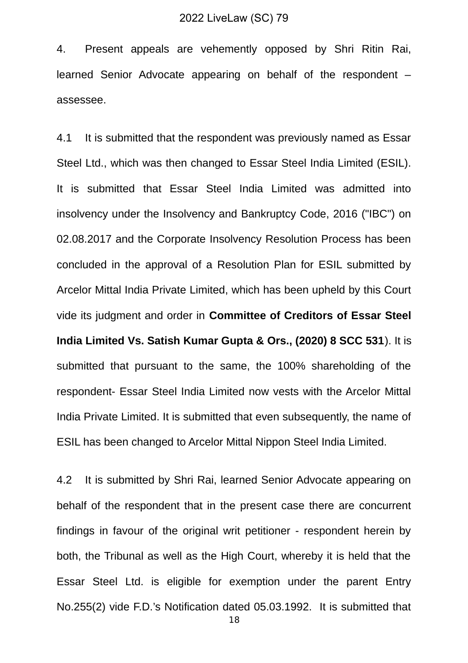4. Present appeals are vehemently opposed by Shri Ritin Rai, learned Senior Advocate appearing on behalf of the respondent – assessee.

4.1 It is submitted that the respondent was previously named as Essar Steel Ltd., which was then changed to Essar Steel India Limited (ESIL). It is submitted that Essar Steel India Limited was admitted into insolvency under the Insolvency and Bankruptcy Code, 2016 ("IBC") on 02.08.2017 and the Corporate Insolvency Resolution Process has been concluded in the approval of a Resolution Plan for ESIL submitted by Arcelor Mittal India Private Limited, which has been upheld by this Court vide its judgment and order in **Committee of Creditors of Essar Steel India Limited Vs. Satish Kumar Gupta & Ors., (2020) 8 SCC 531**). It is submitted that pursuant to the same, the 100% shareholding of the respondent- Essar Steel India Limited now vests with the Arcelor Mittal India Private Limited. It is submitted that even subsequently, the name of ESIL has been changed to Arcelor Mittal Nippon Steel India Limited.

4.2 It is submitted by Shri Rai, learned Senior Advocate appearing on behalf of the respondent that in the present case there are concurrent findings in favour of the original writ petitioner - respondent herein by both, the Tribunal as well as the High Court, whereby it is held that the Essar Steel Ltd. is eligible for exemption under the parent Entry No.255(2) vide F.D.'s Notification dated 05.03.1992. It is submitted that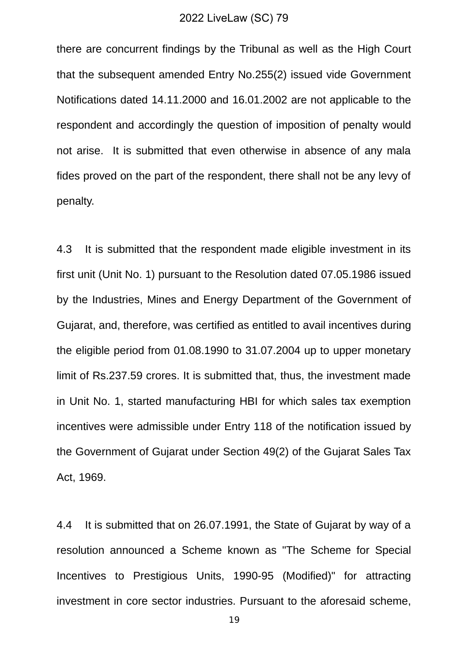there are concurrent findings by the Tribunal as well as the High Court that the subsequent amended Entry No.255(2) issued vide Government Notifications dated 14.11.2000 and 16.01.2002 are not applicable to the respondent and accordingly the question of imposition of penalty would not arise. It is submitted that even otherwise in absence of any mala fides proved on the part of the respondent, there shall not be any levy of penalty.

4.3 It is submitted that the respondent made eligible investment in its first unit (Unit No. 1) pursuant to the Resolution dated 07.05.1986 issued by the Industries, Mines and Energy Department of the Government of Gujarat, and, therefore, was certified as entitled to avail incentives during the eligible period from 01.08.1990 to 31.07.2004 up to upper monetary limit of Rs.237.59 crores. It is submitted that, thus, the investment made in Unit No. 1, started manufacturing HBI for which sales tax exemption incentives were admissible under Entry 118 of the notification issued by the Government of Gujarat under Section 49(2) of the Gujarat Sales Tax Act, 1969.

4.4 It is submitted that on 26.07.1991, the State of Gujarat by way of a resolution announced a Scheme known as "The Scheme for Special Incentives to Prestigious Units, 1990-95 (Modified)" for attracting investment in core sector industries. Pursuant to the aforesaid scheme,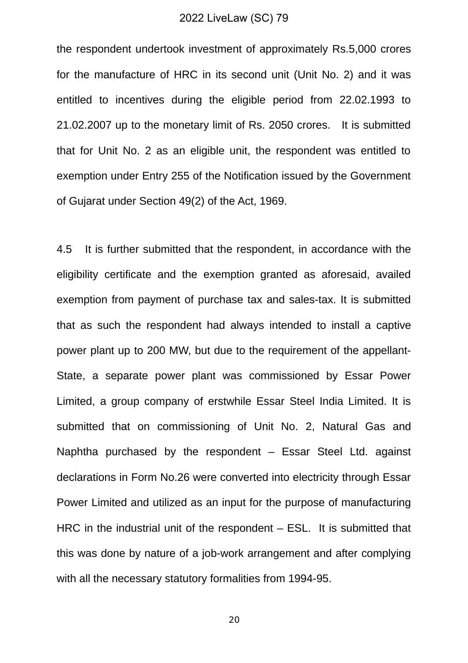the respondent undertook investment of approximately Rs.5,000 crores for the manufacture of HRC in its second unit (Unit No. 2) and it was entitled to incentives during the eligible period from 22.02.1993 to 21.02.2007 up to the monetary limit of Rs. 2050 crores. It is submitted that for Unit No. 2 as an eligible unit, the respondent was entitled to exemption under Entry 255 of the Notification issued by the Government of Gujarat under Section 49(2) of the Act, 1969.

4.5 It is further submitted that the respondent, in accordance with the eligibility certificate and the exemption granted as aforesaid, availed exemption from payment of purchase tax and sales-tax. It is submitted that as such the respondent had always intended to install a captive power plant up to 200 MW, but due to the requirement of the appellant-State, a separate power plant was commissioned by Essar Power Limited, a group company of erstwhile Essar Steel India Limited. It is submitted that on commissioning of Unit No. 2, Natural Gas and Naphtha purchased by the respondent – Essar Steel Ltd. against declarations in Form No.26 were converted into electricity through Essar Power Limited and utilized as an input for the purpose of manufacturing HRC in the industrial unit of the respondent – ESL. It is submitted that this was done by nature of a job-work arrangement and after complying with all the necessary statutory formalities from 1994-95.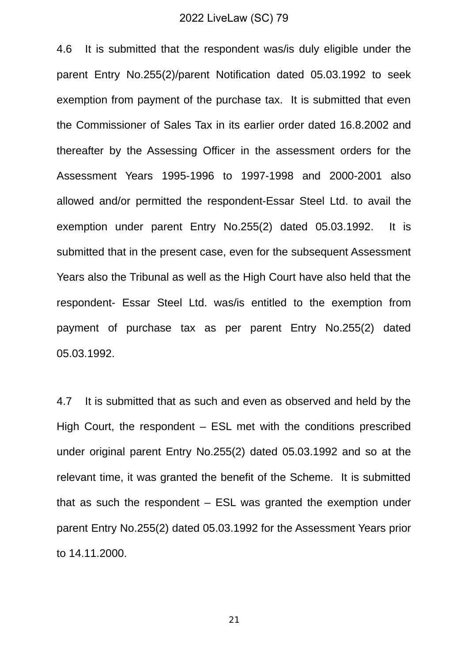4.6 It is submitted that the respondent was/is duly eligible under the parent Entry No.255(2)/parent Notification dated 05.03.1992 to seek exemption from payment of the purchase tax. It is submitted that even the Commissioner of Sales Tax in its earlier order dated 16.8.2002 and thereafter by the Assessing Officer in the assessment orders for the Assessment Years 1995-1996 to 1997-1998 and 2000-2001 also allowed and/or permitted the respondent-Essar Steel Ltd. to avail the exemption under parent Entry No.255(2) dated 05.03.1992. It is submitted that in the present case, even for the subsequent Assessment Years also the Tribunal as well as the High Court have also held that the respondent- Essar Steel Ltd. was/is entitled to the exemption from payment of purchase tax as per parent Entry No.255(2) dated 05.03.1992.

4.7 It is submitted that as such and even as observed and held by the High Court, the respondent – ESL met with the conditions prescribed under original parent Entry No.255(2) dated 05.03.1992 and so at the relevant time, it was granted the benefit of the Scheme. It is submitted that as such the respondent – ESL was granted the exemption under parent Entry No.255(2) dated 05.03.1992 for the Assessment Years prior to 14.11.2000.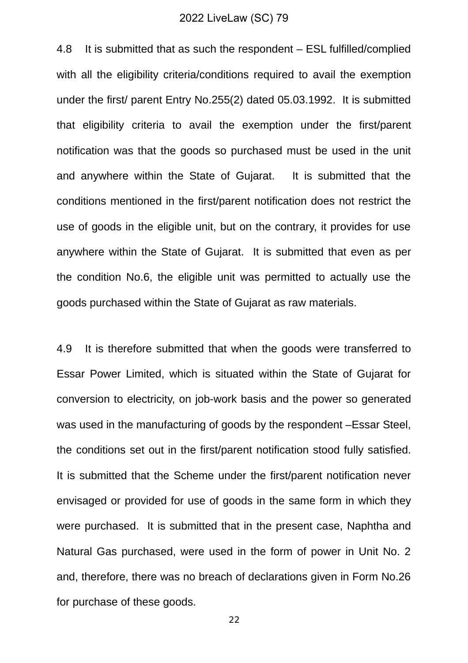4.8 It is submitted that as such the respondent – ESL fulfilled/complied with all the eligibility criteria/conditions required to avail the exemption under the first/ parent Entry No.255(2) dated 05.03.1992. It is submitted that eligibility criteria to avail the exemption under the first/parent notification was that the goods so purchased must be used in the unit and anywhere within the State of Gujarat. It is submitted that the conditions mentioned in the first/parent notification does not restrict the use of goods in the eligible unit, but on the contrary, it provides for use anywhere within the State of Gujarat. It is submitted that even as per the condition No.6, the eligible unit was permitted to actually use the goods purchased within the State of Gujarat as raw materials.

4.9 It is therefore submitted that when the goods were transferred to Essar Power Limited, which is situated within the State of Gujarat for conversion to electricity, on job-work basis and the power so generated was used in the manufacturing of goods by the respondent –Essar Steel, the conditions set out in the first/parent notification stood fully satisfied. It is submitted that the Scheme under the first/parent notification never envisaged or provided for use of goods in the same form in which they were purchased. It is submitted that in the present case, Naphtha and Natural Gas purchased, were used in the form of power in Unit No. 2 and, therefore, there was no breach of declarations given in Form No.26 for purchase of these goods.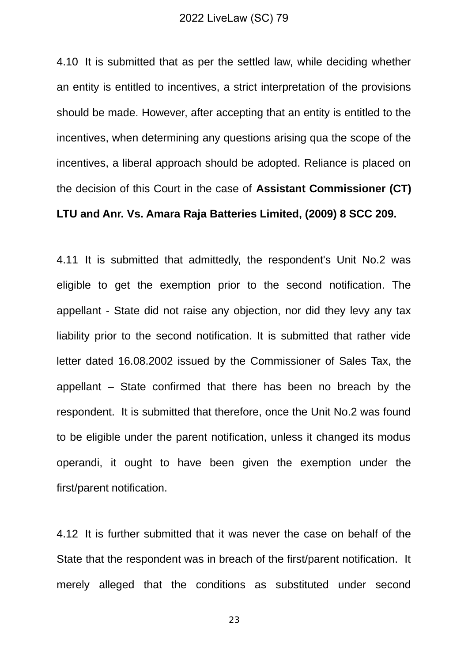4.10 It is submitted that as per the settled law, while deciding whether an entity is entitled to incentives, a strict interpretation of the provisions should be made. However, after accepting that an entity is entitled to the incentives, when determining any questions arising qua the scope of the incentives, a liberal approach should be adopted. Reliance is placed on the decision of this Court in the case of **Assistant Commissioner (CT) LTU and Anr. Vs. Amara Raja Batteries Limited, (2009) 8 SCC 209.** 

4.11 It is submitted that admittedly, the respondent's Unit No.2 was eligible to get the exemption prior to the second notification. The appellant - State did not raise any objection, nor did they levy any tax liability prior to the second notification. It is submitted that rather vide letter dated 16.08.2002 issued by the Commissioner of Sales Tax, the appellant – State confirmed that there has been no breach by the respondent. It is submitted that therefore, once the Unit No.2 was found to be eligible under the parent notification, unless it changed its modus operandi, it ought to have been given the exemption under the first/parent notification.

4.12 It is further submitted that it was never the case on behalf of the State that the respondent was in breach of the first/parent notification. It merely alleged that the conditions as substituted under second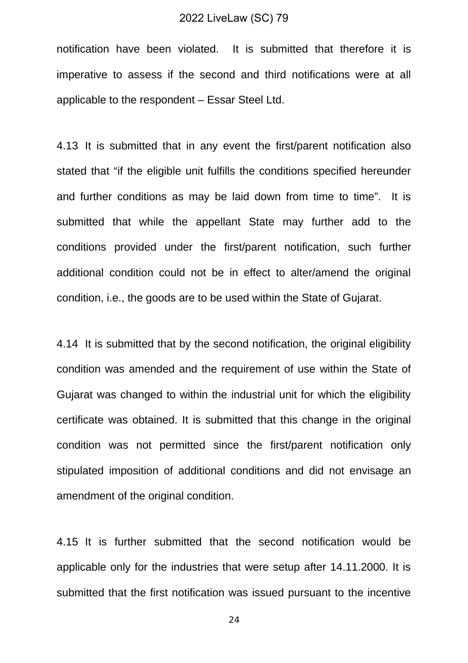notification have been violated. It is submitted that therefore it is imperative to assess if the second and third notifications were at all applicable to the respondent – Essar Steel Ltd.

4.13 It is submitted that in any event the first/parent notification also stated that "if the eligible unit fulfills the conditions specified hereunder and further conditions as may be laid down from time to time". It is submitted that while the appellant State may further add to the conditions provided under the first/parent notification, such further additional condition could not be in effect to alter/amend the original condition, i.e., the goods are to be used within the State of Gujarat.

4.14 It is submitted that by the second notification, the original eligibility condition was amended and the requirement of use within the State of Gujarat was changed to within the industrial unit for which the eligibility certificate was obtained. It is submitted that this change in the original condition was not permitted since the first/parent notification only stipulated imposition of additional conditions and did not envisage an amendment of the original condition.

4.15 It is further submitted that the second notification would be applicable only for the industries that were setup after 14.11.2000. It is submitted that the first notification was issued pursuant to the incentive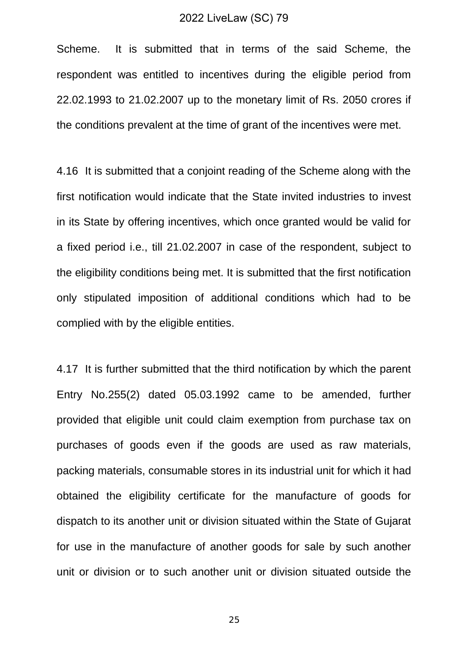Scheme. It is submitted that in terms of the said Scheme, the respondent was entitled to incentives during the eligible period from 22.02.1993 to 21.02.2007 up to the monetary limit of Rs. 2050 crores if the conditions prevalent at the time of grant of the incentives were met.

4.16 It is submitted that a conjoint reading of the Scheme along with the first notification would indicate that the State invited industries to invest in its State by offering incentives, which once granted would be valid for a fixed period i.e., till 21.02.2007 in case of the respondent, subject to the eligibility conditions being met. It is submitted that the first notification only stipulated imposition of additional conditions which had to be complied with by the eligible entities.

4.17 It is further submitted that the third notification by which the parent Entry No.255(2) dated 05.03.1992 came to be amended, further provided that eligible unit could claim exemption from purchase tax on purchases of goods even if the goods are used as raw materials, packing materials, consumable stores in its industrial unit for which it had obtained the eligibility certificate for the manufacture of goods for dispatch to its another unit or division situated within the State of Gujarat for use in the manufacture of another goods for sale by such another unit or division or to such another unit or division situated outside the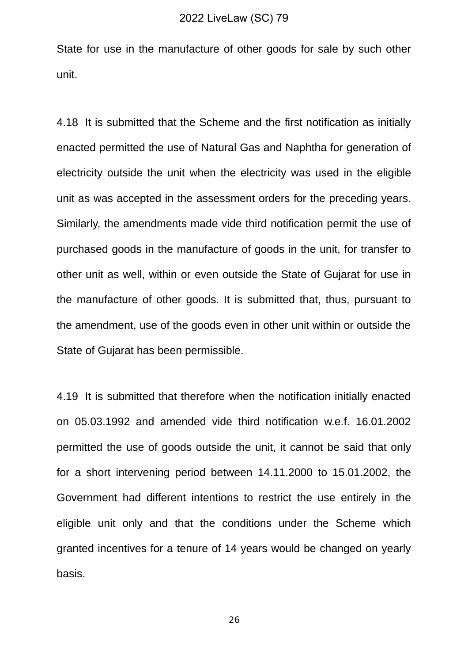State for use in the manufacture of other goods for sale by such other unit.

4.18 It is submitted that the Scheme and the first notification as initially enacted permitted the use of Natural Gas and Naphtha for generation of electricity outside the unit when the electricity was used in the eligible unit as was accepted in the assessment orders for the preceding years. Similarly, the amendments made vide third notification permit the use of purchased goods in the manufacture of goods in the unit, for transfer to other unit as well, within or even outside the State of Gujarat for use in the manufacture of other goods. It is submitted that, thus, pursuant to the amendment, use of the goods even in other unit within or outside the State of Gujarat has been permissible.

4.19 It is submitted that therefore when the notification initially enacted on 05.03.1992 and amended vide third notification w.e.f. 16.01.2002 permitted the use of goods outside the unit, it cannot be said that only for a short intervening period between 14.11.2000 to 15.01.2002, the Government had different intentions to restrict the use entirely in the eligible unit only and that the conditions under the Scheme which granted incentives for a tenure of 14 years would be changed on yearly basis.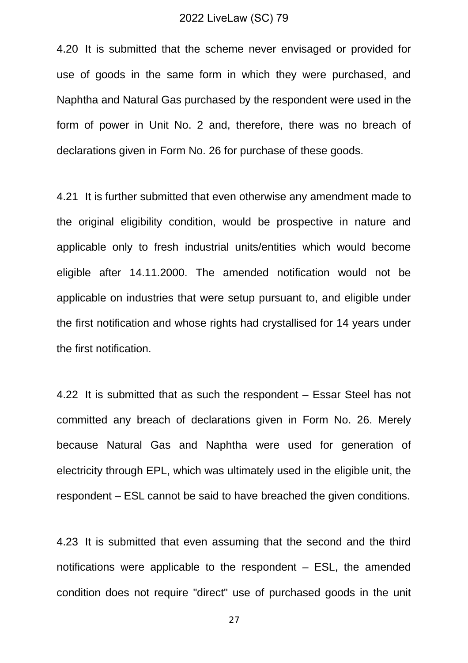4.20 It is submitted that the scheme never envisaged or provided for use of goods in the same form in which they were purchased, and Naphtha and Natural Gas purchased by the respondent were used in the form of power in Unit No. 2 and, therefore, there was no breach of declarations given in Form No. 26 for purchase of these goods.

4.21 It is further submitted that even otherwise any amendment made to the original eligibility condition, would be prospective in nature and applicable only to fresh industrial units/entities which would become eligible after 14.11.2000. The amended notification would not be applicable on industries that were setup pursuant to, and eligible under the first notification and whose rights had crystallised for 14 years under the first notification.

4.22 It is submitted that as such the respondent – Essar Steel has not committed any breach of declarations given in Form No. 26. Merely because Natural Gas and Naphtha were used for generation of electricity through EPL, which was ultimately used in the eligible unit, the respondent – ESL cannot be said to have breached the given conditions.

4.23 It is submitted that even assuming that the second and the third notifications were applicable to the respondent – ESL, the amended condition does not require "direct" use of purchased goods in the unit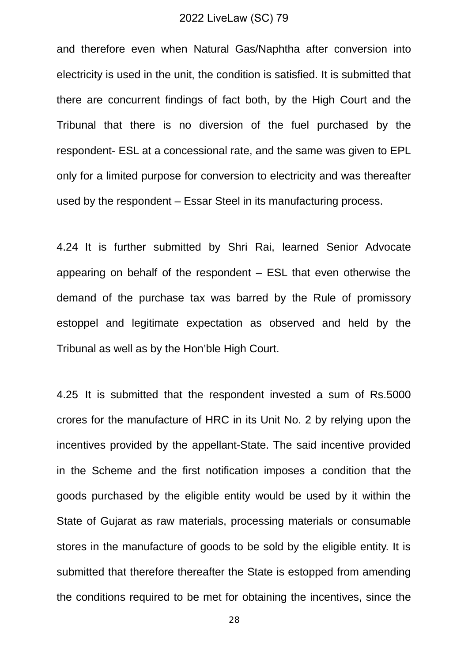and therefore even when Natural Gas/Naphtha after conversion into electricity is used in the unit, the condition is satisfied. It is submitted that there are concurrent findings of fact both, by the High Court and the Tribunal that there is no diversion of the fuel purchased by the respondent- ESL at a concessional rate, and the same was given to EPL only for a limited purpose for conversion to electricity and was thereafter used by the respondent – Essar Steel in its manufacturing process.

4.24 It is further submitted by Shri Rai, learned Senior Advocate appearing on behalf of the respondent – ESL that even otherwise the demand of the purchase tax was barred by the Rule of promissory estoppel and legitimate expectation as observed and held by the Tribunal as well as by the Hon'ble High Court.

4.25 It is submitted that the respondent invested a sum of Rs.5000 crores for the manufacture of HRC in its Unit No. 2 by relying upon the incentives provided by the appellant-State. The said incentive provided in the Scheme and the first notification imposes a condition that the goods purchased by the eligible entity would be used by it within the State of Gujarat as raw materials, processing materials or consumable stores in the manufacture of goods to be sold by the eligible entity. It is submitted that therefore thereafter the State is estopped from amending the conditions required to be met for obtaining the incentives, since the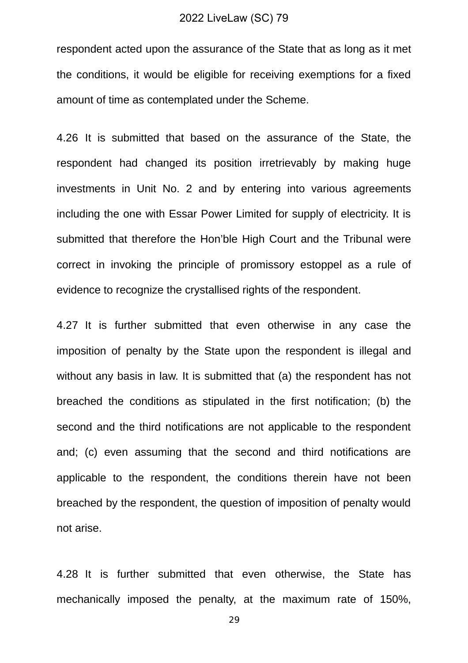respondent acted upon the assurance of the State that as long as it met the conditions, it would be eligible for receiving exemptions for a fixed amount of time as contemplated under the Scheme.

4.26 It is submitted that based on the assurance of the State, the respondent had changed its position irretrievably by making huge investments in Unit No. 2 and by entering into various agreements including the one with Essar Power Limited for supply of electricity. It is submitted that therefore the Hon'ble High Court and the Tribunal were correct in invoking the principle of promissory estoppel as a rule of evidence to recognize the crystallised rights of the respondent.

4.27 It is further submitted that even otherwise in any case the imposition of penalty by the State upon the respondent is illegal and without any basis in law. It is submitted that (a) the respondent has not breached the conditions as stipulated in the first notification; (b) the second and the third notifications are not applicable to the respondent and; (c) even assuming that the second and third notifications are applicable to the respondent, the conditions therein have not been breached by the respondent, the question of imposition of penalty would not arise.

4.28 It is further submitted that even otherwise, the State has mechanically imposed the penalty, at the maximum rate of 150%,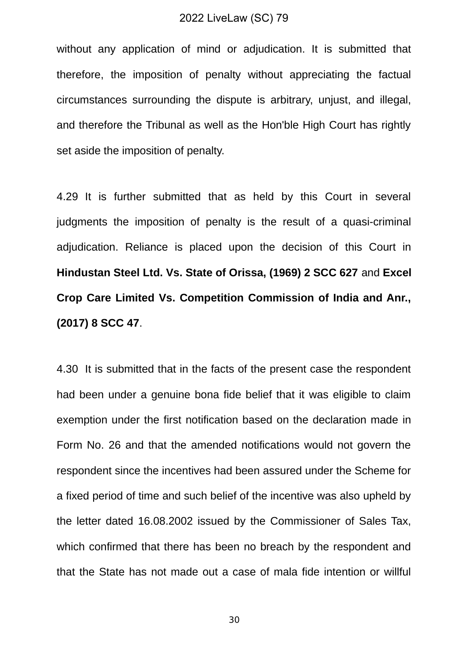without any application of mind or adjudication. It is submitted that therefore, the imposition of penalty without appreciating the factual circumstances surrounding the dispute is arbitrary, unjust, and illegal, and therefore the Tribunal as well as the Hon'ble High Court has rightly set aside the imposition of penalty.

4.29 It is further submitted that as held by this Court in several judgments the imposition of penalty is the result of a quasi-criminal adjudication. Reliance is placed upon the decision of this Court in **Hindustan Steel Ltd. Vs. State of Orissa, (1969) 2 SCC 627** and **Excel Crop Care Limited Vs. Competition Commission of India and Anr., (2017) 8 SCC 47**.

4.30 It is submitted that in the facts of the present case the respondent had been under a genuine bona fide belief that it was eligible to claim exemption under the first notification based on the declaration made in Form No. 26 and that the amended notifications would not govern the respondent since the incentives had been assured under the Scheme for a fixed period of time and such belief of the incentive was also upheld by the letter dated 16.08.2002 issued by the Commissioner of Sales Tax, which confirmed that there has been no breach by the respondent and that the State has not made out a case of mala fide intention or willful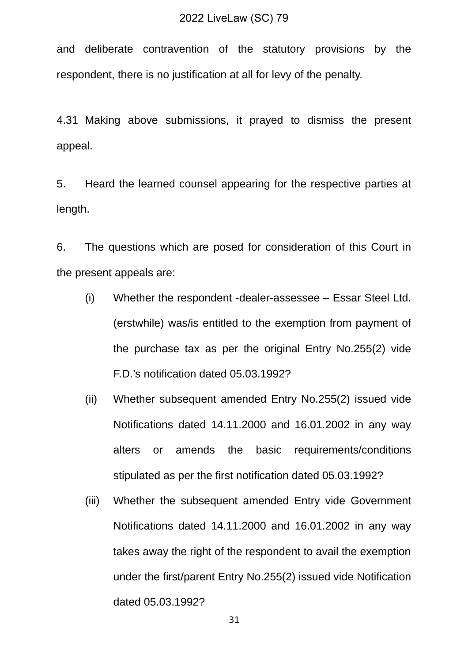and deliberate contravention of the statutory provisions by the respondent, there is no justification at all for levy of the penalty.

4.31 Making above submissions, it prayed to dismiss the present appeal.

5. Heard the learned counsel appearing for the respective parties at length.

6. The questions which are posed for consideration of this Court in the present appeals are:

- (i) Whether the respondent -dealer-assessee Essar Steel Ltd. (erstwhile) was/is entitled to the exemption from payment of the purchase tax as per the original Entry No.255(2) vide F.D.'s notification dated 05.03.1992?
- (ii) Whether subsequent amended Entry No.255(2) issued vide Notifications dated 14.11.2000 and 16.01.2002 in any way alters or amends the basic requirements/conditions stipulated as per the first notification dated 05.03.1992?
- (iii) Whether the subsequent amended Entry vide Government Notifications dated 14.11.2000 and 16.01.2002 in any way takes away the right of the respondent to avail the exemption under the first/parent Entry No.255(2) issued vide Notification dated 05.03.1992?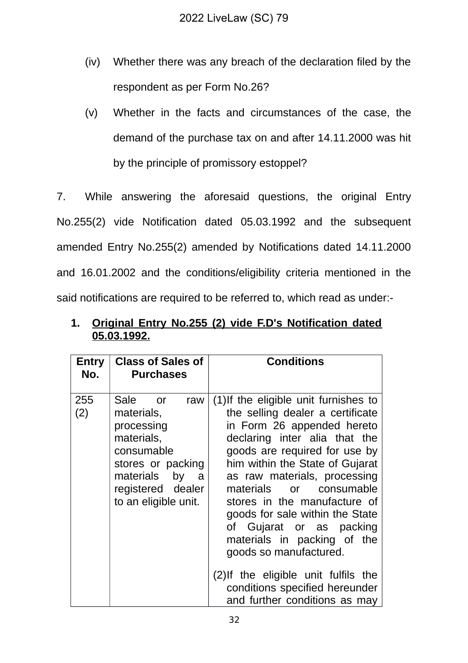- (iv) Whether there was any breach of the declaration filed by the respondent as per Form No.26?
- (v) Whether in the facts and circumstances of the case, the demand of the purchase tax on and after 14.11.2000 was hit by the principle of promissory estoppel?

7. While answering the aforesaid questions, the original Entry No.255(2) vide Notification dated 05.03.1992 and the subsequent amended Entry No.255(2) amended by Notifications dated 14.11.2000 and 16.01.2002 and the conditions/eligibility criteria mentioned in the said notifications are required to be referred to, which read as under:-

| Entry<br>No. | <b>Class of Sales of</b><br><b>Purchases</b>                                                                                                                       | <b>Conditions</b>                                                                                                                                                                                                                                                                                                                                                                                                                                                                                                                          |
|--------------|--------------------------------------------------------------------------------------------------------------------------------------------------------------------|--------------------------------------------------------------------------------------------------------------------------------------------------------------------------------------------------------------------------------------------------------------------------------------------------------------------------------------------------------------------------------------------------------------------------------------------------------------------------------------------------------------------------------------------|
| 255<br>(2)   | Sale or<br>raw<br>materials,<br>processing<br>materials,<br>consumable<br>stores or packing<br>materials<br>by<br>a a<br>registered dealer<br>to an eligible unit. | (1) If the eligible unit furnishes to<br>the selling dealer a certificate<br>in Form 26 appended hereto<br>declaring inter alia that the<br>goods are required for use by<br>him within the State of Gujarat<br>as raw materials, processing<br>materials or consumable<br>stores in the manufacture of<br>goods for sale within the State<br>of Gujarat or as packing<br>materials in packing of the<br>goods so manufactured.<br>(2) If the eligible unit fulfils the<br>conditions specified hereunder<br>and further conditions as may |

# **1. Original Entry No.255 (2) vide F.D's Notification dated 05.03.1992.**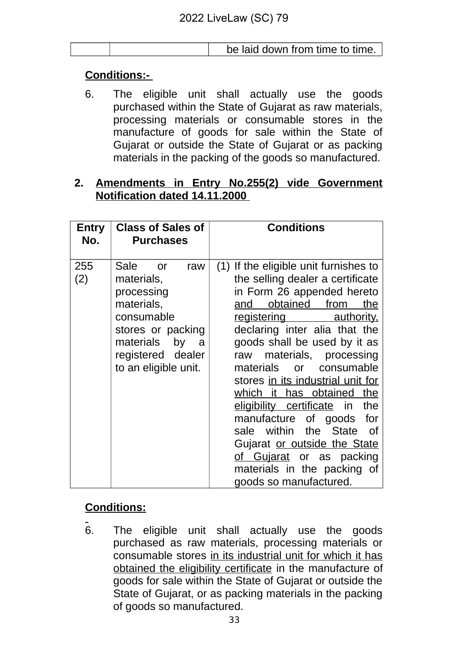| be laid down from time to time. |
|---------------------------------|
|---------------------------------|

# **Conditions:-**

6. The eligible unit shall actually use the goods purchased within the State of Gujarat as raw materials, processing materials or consumable stores in the manufacture of goods for sale within the State of Gujarat or outside the State of Gujarat or as packing materials in the packing of the goods so manufactured.

# **2. Amendments in Entry No.255(2) vide Government Notification dated 14.11.2000**

| Entry      | <b>Class of Sales of</b>                                                                                                                                                   | <b>Conditions</b>                                                                                                                                                                                                                                                                                                             |  |
|------------|----------------------------------------------------------------------------------------------------------------------------------------------------------------------------|-------------------------------------------------------------------------------------------------------------------------------------------------------------------------------------------------------------------------------------------------------------------------------------------------------------------------------|--|
| No.        | <b>Purchases</b>                                                                                                                                                           |                                                                                                                                                                                                                                                                                                                               |  |
|            |                                                                                                                                                                            |                                                                                                                                                                                                                                                                                                                               |  |
| 255<br>(2) | Sale<br>raw<br><b>or</b><br>materials,<br>processing<br>materials,<br>consumable<br>stores or packing<br>materials<br>by<br>a<br>registered dealer<br>to an eligible unit. | If the eligible unit furnishes to<br>(1)<br>the selling dealer a certificate<br>in Form 26 appended hereto<br>obtained<br>from<br>and<br>the<br><u>registering</u><br><u>authority,</u><br>declaring inter alia that the<br>goods shall be used by it as<br>raw materials, processing<br>consumable<br>materials<br><b>or</b> |  |
|            |                                                                                                                                                                            | stores in its industrial unit for<br>which it has obtained<br>the<br>eligibility certificate in<br>the<br>manufacture of goods<br>for<br>within<br>sale<br>the State<br>0f<br>Gujarat or outside the State<br>of Gujarat or as packing<br>materials in the packing of<br>goods so manufactured.                               |  |

# **Conditions:**

6. The eligible unit shall actually use the goods purchased as raw materials, processing materials or consumable stores in its industrial unit for which it has obtained the eligibility certificate in the manufacture of goods for sale within the State of Gujarat or outside the State of Gujarat, or as packing materials in the packing of goods so manufactured.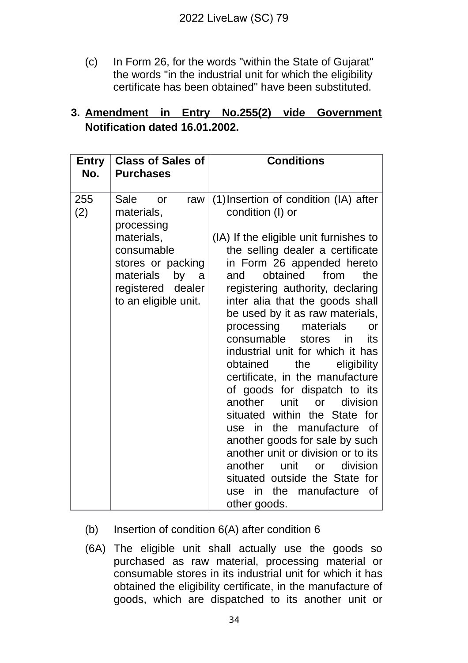(c) In Form 26, for the words "within the State of Gujarat" the words "in the industrial unit for which the eligibility certificate has been obtained" have been substituted.

# **3. Amendment in Entry No.255(2) vide Government Notification dated 16.01.2002.**

| Entry<br>No. | <b>Class of Sales of</b><br><b>Purchases</b>                                                                                                                            | <b>Conditions</b>                                                                                                                                                                                                                                                                                                                                                                                                                                                                                                                                                                                                                                                                                                                                                                                                                                 |
|--------------|-------------------------------------------------------------------------------------------------------------------------------------------------------------------------|---------------------------------------------------------------------------------------------------------------------------------------------------------------------------------------------------------------------------------------------------------------------------------------------------------------------------------------------------------------------------------------------------------------------------------------------------------------------------------------------------------------------------------------------------------------------------------------------------------------------------------------------------------------------------------------------------------------------------------------------------------------------------------------------------------------------------------------------------|
| 255<br>(2)   | Sale<br>raw<br><b>or</b><br>materials,<br>processing<br>materials,<br>consumable<br>stores or packing<br>materials<br>by a<br>registered dealer<br>to an eligible unit. | (1) Insertion of condition (IA) after<br>condition (I) or<br>(IA) If the eligible unit furnishes to<br>the selling dealer a certificate<br>in Form 26 appended hereto<br>obtained from<br>the<br>and<br>registering authority, declaring<br>inter alia that the goods shall<br>be used by it as raw materials,<br>processing materials<br><b>or</b><br>consumable stores in<br>its<br>industrial unit for which it has<br>obtained<br>the<br>eligibility<br>certificate, in the manufacture<br>of goods for dispatch to its<br>another<br>division<br>unit<br><b>or</b><br>situated within the State for<br>the manufacture<br>use in<br>of<br>another goods for sale by such<br>another unit or division or to its<br>another<br>division<br>unit<br><b>or</b><br>situated outside the State for<br>use in the manufacture<br>of<br>other goods. |

# (b) Insertion of condition 6(A) after condition 6

(6A) The eligible unit shall actually use the goods so purchased as raw material, processing material or consumable stores in its industrial unit for which it has obtained the eligibility certificate, in the manufacture of goods, which are dispatched to its another unit or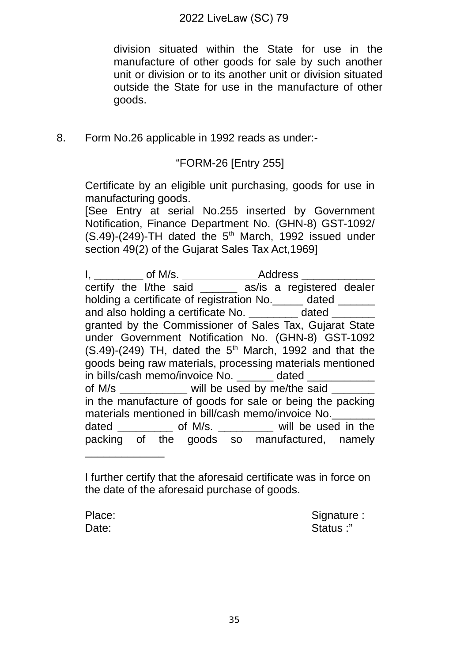division situated within the State for use in the manufacture of other goods for sale by such another unit or division or to its another unit or division situated outside the State for use in the manufacture of other goods.

8. Form No.26 applicable in 1992 reads as under:-

## "FORM-26 [Entry 255]

Certificate by an eligible unit purchasing, goods for use in manufacturing goods.

[See Entry at serial No.255 inserted by Government Notification, Finance Department No. (GHN-8) GST-1092/  $(S.49)$ -(249)-TH dated the 5<sup>th</sup> March, 1992 issued under section 49(2) of the Gujarat Sales Tax Act, 1969]

| I, ___________ of M/s. ______________________Address ___________      |  |                                                                |  |  |  |  |
|-----------------------------------------------------------------------|--|----------------------------------------------------------------|--|--|--|--|
|                                                                       |  | certify the I/the said _______ as/is a registered dealer       |  |  |  |  |
| holding a certificate of registration No. ______ dated ______         |  |                                                                |  |  |  |  |
|                                                                       |  | and also holding a certificate No. _________ dated _______     |  |  |  |  |
|                                                                       |  | granted by the Commissioner of Sales Tax, Gujarat State        |  |  |  |  |
|                                                                       |  | under Government Notification No. (GHN-8) GST-1092             |  |  |  |  |
| $(S.49)-(249)$ TH, dated the 5 <sup>th</sup> March, 1992 and that the |  |                                                                |  |  |  |  |
| goods being raw materials, processing materials mentioned             |  |                                                                |  |  |  |  |
| in bills/cash memo/invoice No. ______ dated ____                      |  |                                                                |  |  |  |  |
| of M/s ____________ will be used by me/the said _                     |  |                                                                |  |  |  |  |
| in the manufacture of goods for sale or being the packing             |  |                                                                |  |  |  |  |
| materials mentioned in bill/cash memo/invoice No.                     |  |                                                                |  |  |  |  |
|                                                                       |  | dated ______________ of M/s. _____________ will be used in the |  |  |  |  |
|                                                                       |  | packing of the goods so manufactured, namely                   |  |  |  |  |
|                                                                       |  |                                                                |  |  |  |  |

I further certify that the aforesaid certificate was in force on the date of the aforesaid purchase of goods.

Place: Signature : Signature : Signature : Signature : Signature : Signature : Signature : Signature : Signature : Signature : Signature : Signature : Signature : Signature : Signature : Signature : Signature : Signature : Date: Status : "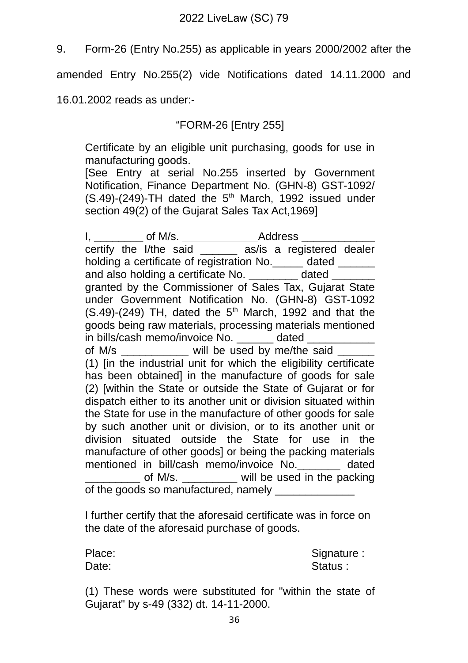9. Form-26 (Entry No.255) as applicable in years 2000/2002 after the

amended Entry No.255(2) vide Notifications dated 14.11.2000 and

16.01.2002 reads as under:-

"FORM-26 [Entry 255]

Certificate by an eligible unit purchasing, goods for use in manufacturing goods.

[See Entry at serial No.255 inserted by Government Notification, Finance Department No. (GHN-8) GST-1092/  $(S.49)$ -(249)-TH dated the 5<sup>th</sup> March, 1992 issued under section 49(2) of the Gujarat Sales Tax Act,1969]

I, \_\_\_\_\_\_\_\_\_ of M/s. \_\_\_\_\_\_\_\_\_\_\_\_\_\_\_\_\_Address \_\_\_\_\_\_\_\_\_\_\_\_\_\_\_\_\_\_\_\_\_\_\_\_\_\_\_\_\_\_\_\_\_\_ certify the I/the said \_\_\_\_\_\_ as/is a registered dealer holding a certificate of registration No. \_\_\_\_\_\_ dated \_\_\_\_\_\_\_ and also holding a certificate No. The dated granted by the Commissioner of Sales Tax, Gujarat State under Government Notification No. (GHN-8) GST-1092  $(S.49)-(249)$  TH, dated the 5<sup>th</sup> March, 1992 and that the goods being raw materials, processing materials mentioned in bills/cash memo/invoice No. \_\_\_\_\_\_ dated \_\_\_\_\_\_\_\_\_\_\_ of M/s \_\_\_\_\_\_\_\_\_\_\_\_ will be used by me/the said (1) [in the industrial unit for which the eligibility certificate has been obtained] in the manufacture of goods for sale (2) [within the State or outside the State of Gujarat or for dispatch either to its another unit or division situated within the State for use in the manufacture of other goods for sale by such another unit or division, or to its another unit or division situated outside the State for use in the manufacture of other goods] or being the packing materials mentioned in bill/cash memo/invoice No.\_\_\_\_\_\_\_ dated of M/s. \_\_\_\_\_\_\_\_\_\_ will be used in the packing of the goods so manufactured, namely

I further certify that the aforesaid certificate was in force on the date of the aforesaid purchase of goods.

Place: Signature : Signature : Signature : Signature : Signature : Signature : Signature : Signature : Signature : Signature : Signature : Signature : Signature : Signature : Signature : Signature : Signature : Signature : Date: Status : Status : Status : Status : Status : Status : Status : Status : Status : Status : Status : Status : Status : Status : Status : Status : Status : Status : Status : Status : Status : Status : Status : Status :

(1) These words were substituted for "within the state of Gujarat" by s-49 (332) dt. 14-11-2000.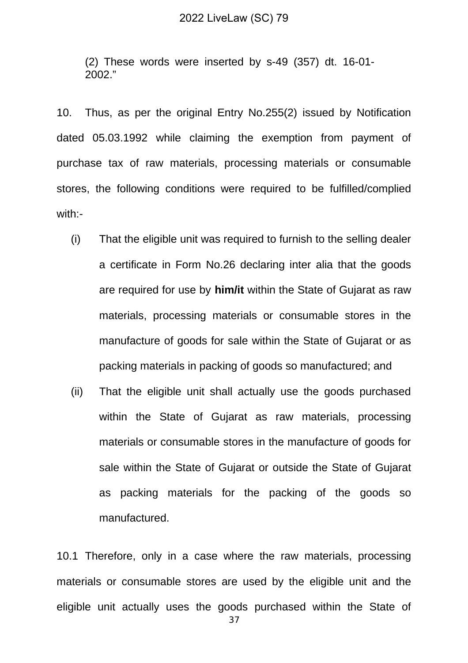(2) These words were inserted by s-49 (357) dt. 16-01- 2002."

10. Thus, as per the original Entry No.255(2) issued by Notification dated 05.03.1992 while claiming the exemption from payment of purchase tax of raw materials, processing materials or consumable stores, the following conditions were required to be fulfilled/complied with:-

- (i) That the eligible unit was required to furnish to the selling dealer a certificate in Form No.26 declaring inter alia that the goods are required for use by **him/it** within the State of Gujarat as raw materials, processing materials or consumable stores in the manufacture of goods for sale within the State of Gujarat or as packing materials in packing of goods so manufactured; and
- (ii) That the eligible unit shall actually use the goods purchased within the State of Gujarat as raw materials, processing materials or consumable stores in the manufacture of goods for sale within the State of Gujarat or outside the State of Gujarat as packing materials for the packing of the goods so manufactured.

10.1 Therefore, only in a case where the raw materials, processing materials or consumable stores are used by the eligible unit and the eligible unit actually uses the goods purchased within the State of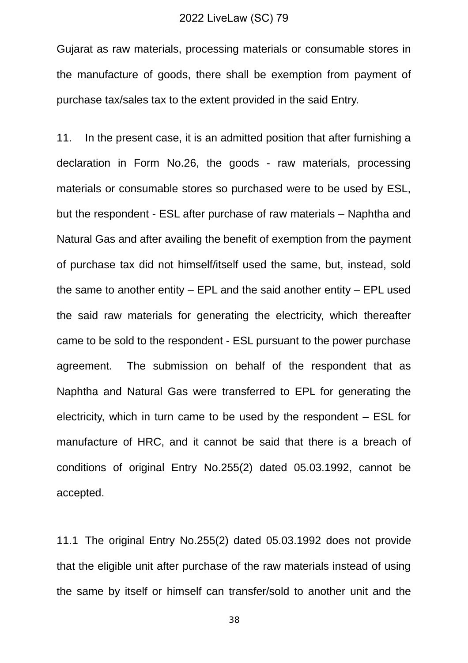Gujarat as raw materials, processing materials or consumable stores in the manufacture of goods, there shall be exemption from payment of purchase tax/sales tax to the extent provided in the said Entry.

11. In the present case, it is an admitted position that after furnishing a declaration in Form No.26, the goods - raw materials, processing materials or consumable stores so purchased were to be used by ESL, but the respondent - ESL after purchase of raw materials – Naphtha and Natural Gas and after availing the benefit of exemption from the payment of purchase tax did not himself/itself used the same, but, instead, sold the same to another entity – EPL and the said another entity – EPL used the said raw materials for generating the electricity, which thereafter came to be sold to the respondent - ESL pursuant to the power purchase agreement. The submission on behalf of the respondent that as Naphtha and Natural Gas were transferred to EPL for generating the electricity, which in turn came to be used by the respondent – ESL for manufacture of HRC, and it cannot be said that there is a breach of conditions of original Entry No.255(2) dated 05.03.1992, cannot be accepted.

11.1 The original Entry No.255(2) dated 05.03.1992 does not provide that the eligible unit after purchase of the raw materials instead of using the same by itself or himself can transfer/sold to another unit and the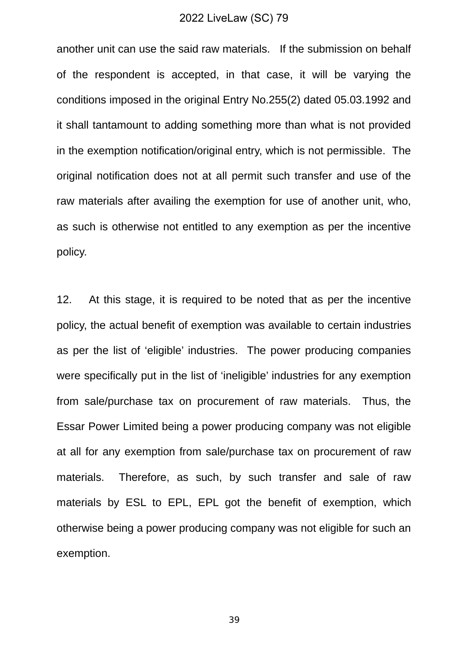another unit can use the said raw materials. If the submission on behalf of the respondent is accepted, in that case, it will be varying the conditions imposed in the original Entry No.255(2) dated 05.03.1992 and it shall tantamount to adding something more than what is not provided in the exemption notification/original entry, which is not permissible. The original notification does not at all permit such transfer and use of the raw materials after availing the exemption for use of another unit, who, as such is otherwise not entitled to any exemption as per the incentive policy.

12. At this stage, it is required to be noted that as per the incentive policy, the actual benefit of exemption was available to certain industries as per the list of 'eligible' industries. The power producing companies were specifically put in the list of 'ineligible' industries for any exemption from sale/purchase tax on procurement of raw materials. Thus, the Essar Power Limited being a power producing company was not eligible at all for any exemption from sale/purchase tax on procurement of raw materials. Therefore, as such, by such transfer and sale of raw materials by ESL to EPL, EPL got the benefit of exemption, which otherwise being a power producing company was not eligible for such an exemption.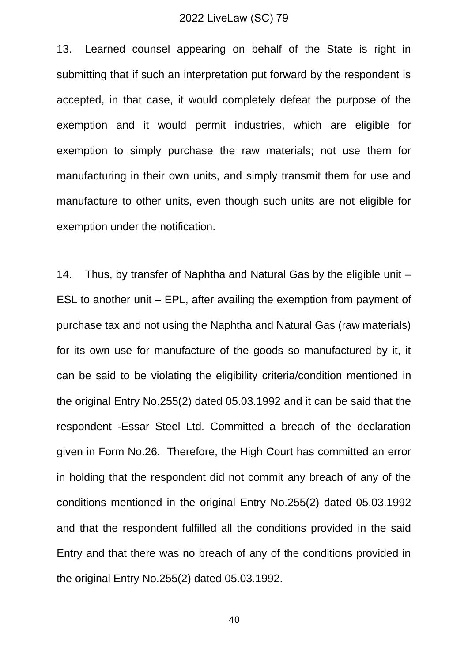13. Learned counsel appearing on behalf of the State is right in submitting that if such an interpretation put forward by the respondent is accepted, in that case, it would completely defeat the purpose of the exemption and it would permit industries, which are eligible for exemption to simply purchase the raw materials; not use them for manufacturing in their own units, and simply transmit them for use and manufacture to other units, even though such units are not eligible for exemption under the notification.

14. Thus, by transfer of Naphtha and Natural Gas by the eligible unit – ESL to another unit – EPL, after availing the exemption from payment of purchase tax and not using the Naphtha and Natural Gas (raw materials) for its own use for manufacture of the goods so manufactured by it, it can be said to be violating the eligibility criteria/condition mentioned in the original Entry No.255(2) dated 05.03.1992 and it can be said that the respondent -Essar Steel Ltd. Committed a breach of the declaration given in Form No.26. Therefore, the High Court has committed an error in holding that the respondent did not commit any breach of any of the conditions mentioned in the original Entry No.255(2) dated 05.03.1992 and that the respondent fulfilled all the conditions provided in the said Entry and that there was no breach of any of the conditions provided in the original Entry No.255(2) dated 05.03.1992.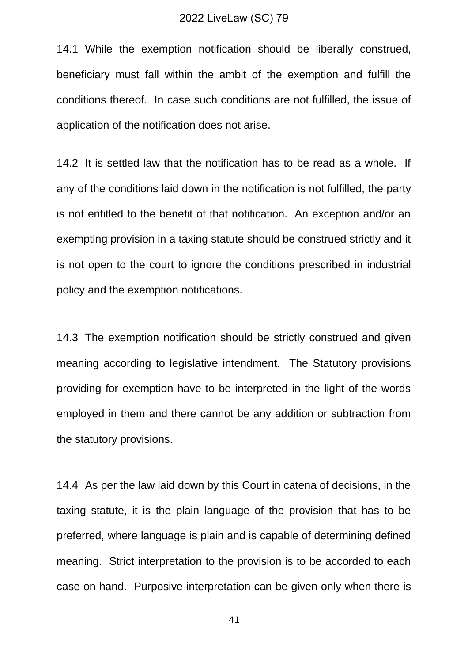14.1 While the exemption notification should be liberally construed, beneficiary must fall within the ambit of the exemption and fulfill the conditions thereof. In case such conditions are not fulfilled, the issue of application of the notification does not arise.

14.2 It is settled law that the notification has to be read as a whole. If any of the conditions laid down in the notification is not fulfilled, the party is not entitled to the benefit of that notification. An exception and/or an exempting provision in a taxing statute should be construed strictly and it is not open to the court to ignore the conditions prescribed in industrial policy and the exemption notifications.

14.3 The exemption notification should be strictly construed and given meaning according to legislative intendment. The Statutory provisions providing for exemption have to be interpreted in the light of the words employed in them and there cannot be any addition or subtraction from the statutory provisions.

14.4 As per the law laid down by this Court in catena of decisions, in the taxing statute, it is the plain language of the provision that has to be preferred, where language is plain and is capable of determining defined meaning. Strict interpretation to the provision is to be accorded to each case on hand. Purposive interpretation can be given only when there is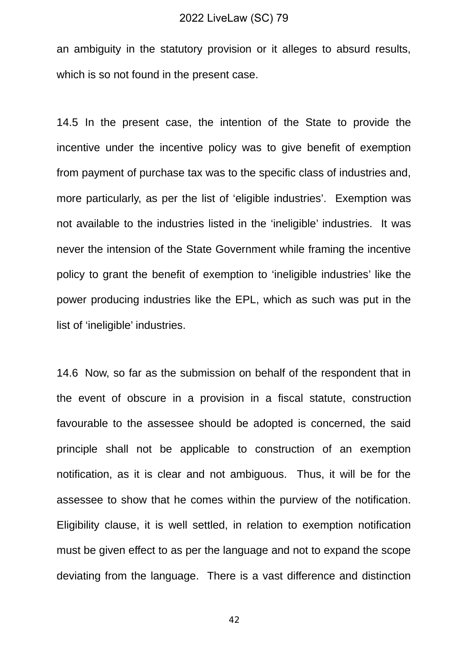an ambiguity in the statutory provision or it alleges to absurd results, which is so not found in the present case.

14.5 In the present case, the intention of the State to provide the incentive under the incentive policy was to give benefit of exemption from payment of purchase tax was to the specific class of industries and, more particularly, as per the list of 'eligible industries'. Exemption was not available to the industries listed in the 'ineligible' industries. It was never the intension of the State Government while framing the incentive policy to grant the benefit of exemption to 'ineligible industries' like the power producing industries like the EPL, which as such was put in the list of 'ineligible' industries.

14.6 Now, so far as the submission on behalf of the respondent that in the event of obscure in a provision in a fiscal statute, construction favourable to the assessee should be adopted is concerned, the said principle shall not be applicable to construction of an exemption notification, as it is clear and not ambiguous. Thus, it will be for the assessee to show that he comes within the purview of the notification. Eligibility clause, it is well settled, in relation to exemption notification must be given effect to as per the language and not to expand the scope deviating from the language. There is a vast difference and distinction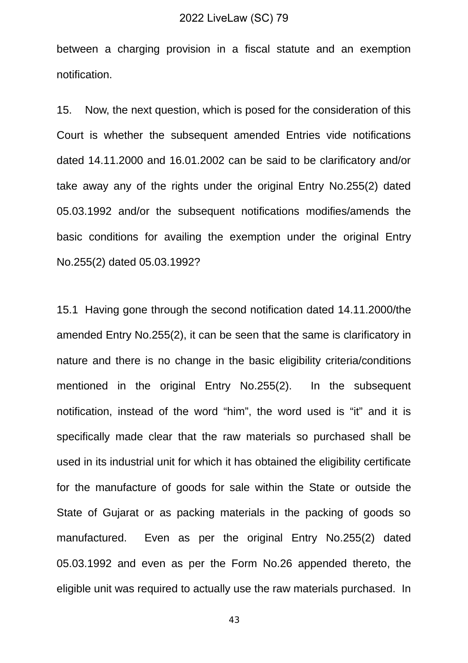between a charging provision in a fiscal statute and an exemption notification.

15. Now, the next question, which is posed for the consideration of this Court is whether the subsequent amended Entries vide notifications dated 14.11.2000 and 16.01.2002 can be said to be clarificatory and/or take away any of the rights under the original Entry No.255(2) dated 05.03.1992 and/or the subsequent notifications modifies/amends the basic conditions for availing the exemption under the original Entry No.255(2) dated 05.03.1992?

15.1 Having gone through the second notification dated 14.11.2000/the amended Entry No.255(2), it can be seen that the same is clarificatory in nature and there is no change in the basic eligibility criteria/conditions mentioned in the original Entry No.255(2). In the subsequent notification, instead of the word "him", the word used is "it" and it is specifically made clear that the raw materials so purchased shall be used in its industrial unit for which it has obtained the eligibility certificate for the manufacture of goods for sale within the State or outside the State of Gujarat or as packing materials in the packing of goods so manufactured. Even as per the original Entry No.255(2) dated 05.03.1992 and even as per the Form No.26 appended thereto, the eligible unit was required to actually use the raw materials purchased. In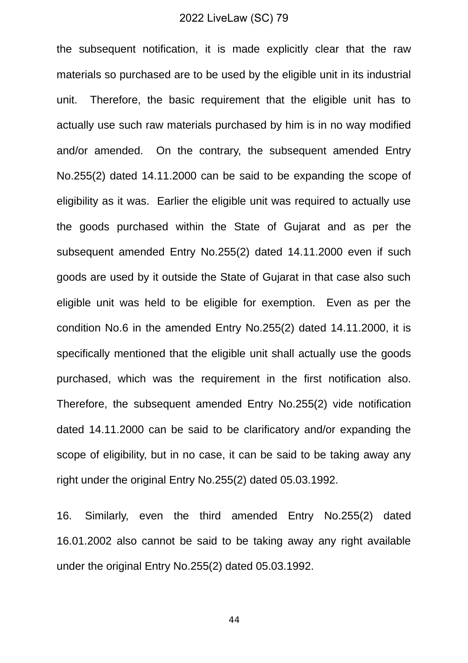the subsequent notification, it is made explicitly clear that the raw materials so purchased are to be used by the eligible unit in its industrial unit. Therefore, the basic requirement that the eligible unit has to actually use such raw materials purchased by him is in no way modified and/or amended. On the contrary, the subsequent amended Entry No.255(2) dated 14.11.2000 can be said to be expanding the scope of eligibility as it was. Earlier the eligible unit was required to actually use the goods purchased within the State of Gujarat and as per the subsequent amended Entry No.255(2) dated 14.11.2000 even if such goods are used by it outside the State of Gujarat in that case also such eligible unit was held to be eligible for exemption. Even as per the condition No.6 in the amended Entry No.255(2) dated 14.11.2000, it is specifically mentioned that the eligible unit shall actually use the goods purchased, which was the requirement in the first notification also. Therefore, the subsequent amended Entry No.255(2) vide notification dated 14.11.2000 can be said to be clarificatory and/or expanding the scope of eligibility, but in no case, it can be said to be taking away any right under the original Entry No.255(2) dated 05.03.1992.

16. Similarly, even the third amended Entry No.255(2) dated 16.01.2002 also cannot be said to be taking away any right available under the original Entry No.255(2) dated 05.03.1992.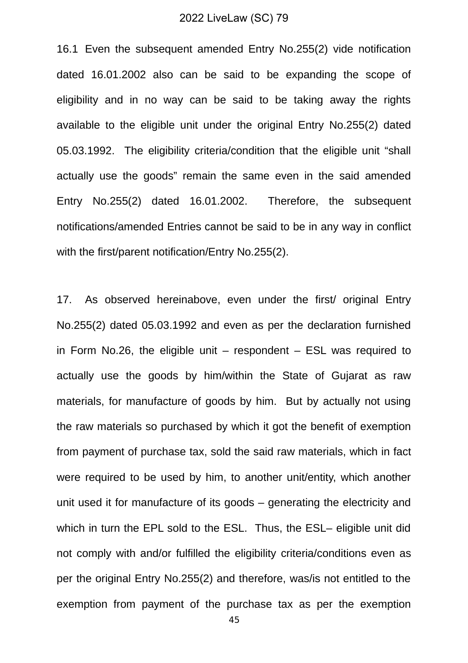16.1 Even the subsequent amended Entry No.255(2) vide notification dated 16.01.2002 also can be said to be expanding the scope of eligibility and in no way can be said to be taking away the rights available to the eligible unit under the original Entry No.255(2) dated 05.03.1992. The eligibility criteria/condition that the eligible unit "shall actually use the goods" remain the same even in the said amended Entry No.255(2) dated 16.01.2002. Therefore, the subsequent notifications/amended Entries cannot be said to be in any way in conflict with the first/parent notification/Entry No.255(2).

17. As observed hereinabove, even under the first/ original Entry No.255(2) dated 05.03.1992 and even as per the declaration furnished in Form No.26, the eligible unit  $-$  respondent  $-$  ESL was required to actually use the goods by him/within the State of Gujarat as raw materials, for manufacture of goods by him. But by actually not using the raw materials so purchased by which it got the benefit of exemption from payment of purchase tax, sold the said raw materials, which in fact were required to be used by him, to another unit/entity, which another unit used it for manufacture of its goods – generating the electricity and which in turn the EPL sold to the ESL. Thus, the ESL– eligible unit did not comply with and/or fulfilled the eligibility criteria/conditions even as per the original Entry No.255(2) and therefore, was/is not entitled to the exemption from payment of the purchase tax as per the exemption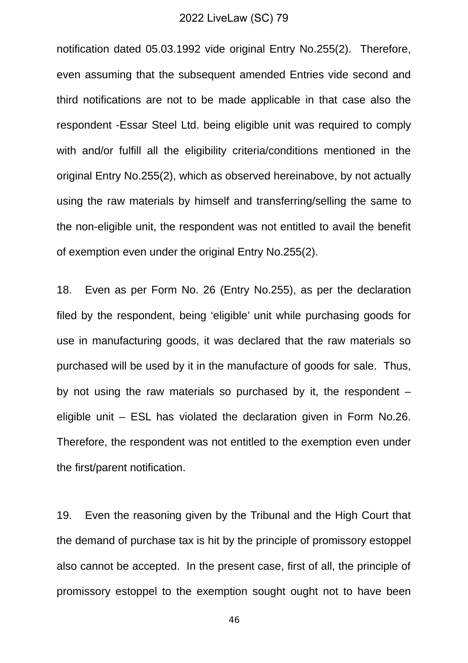notification dated 05.03.1992 vide original Entry No.255(2). Therefore, even assuming that the subsequent amended Entries vide second and third notifications are not to be made applicable in that case also the respondent -Essar Steel Ltd. being eligible unit was required to comply with and/or fulfill all the eligibility criteria/conditions mentioned in the original Entry No.255(2), which as observed hereinabove, by not actually using the raw materials by himself and transferring/selling the same to the non-eligible unit, the respondent was not entitled to avail the benefit of exemption even under the original Entry No.255(2).

18. Even as per Form No. 26 (Entry No.255), as per the declaration filed by the respondent, being 'eligible' unit while purchasing goods for use in manufacturing goods, it was declared that the raw materials so purchased will be used by it in the manufacture of goods for sale. Thus, by not using the raw materials so purchased by it, the respondent – eligible unit – ESL has violated the declaration given in Form No.26. Therefore, the respondent was not entitled to the exemption even under the first/parent notification.

19. Even the reasoning given by the Tribunal and the High Court that the demand of purchase tax is hit by the principle of promissory estoppel also cannot be accepted. In the present case, first of all, the principle of promissory estoppel to the exemption sought ought not to have been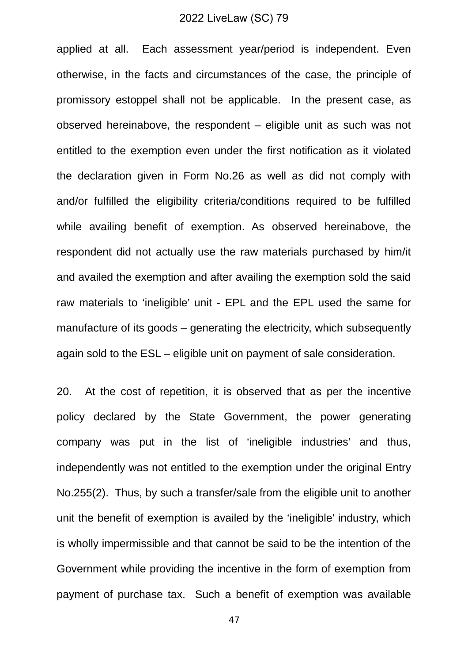applied at all. Each assessment year/period is independent. Even otherwise, in the facts and circumstances of the case, the principle of promissory estoppel shall not be applicable. In the present case, as observed hereinabove, the respondent – eligible unit as such was not entitled to the exemption even under the first notification as it violated the declaration given in Form No.26 as well as did not comply with and/or fulfilled the eligibility criteria/conditions required to be fulfilled while availing benefit of exemption. As observed hereinabove, the respondent did not actually use the raw materials purchased by him/it and availed the exemption and after availing the exemption sold the said raw materials to 'ineligible' unit - EPL and the EPL used the same for manufacture of its goods – generating the electricity, which subsequently again sold to the ESL – eligible unit on payment of sale consideration.

20. At the cost of repetition, it is observed that as per the incentive policy declared by the State Government, the power generating company was put in the list of 'ineligible industries' and thus, independently was not entitled to the exemption under the original Entry No.255(2). Thus, by such a transfer/sale from the eligible unit to another unit the benefit of exemption is availed by the 'ineligible' industry, which is wholly impermissible and that cannot be said to be the intention of the Government while providing the incentive in the form of exemption from payment of purchase tax. Such a benefit of exemption was available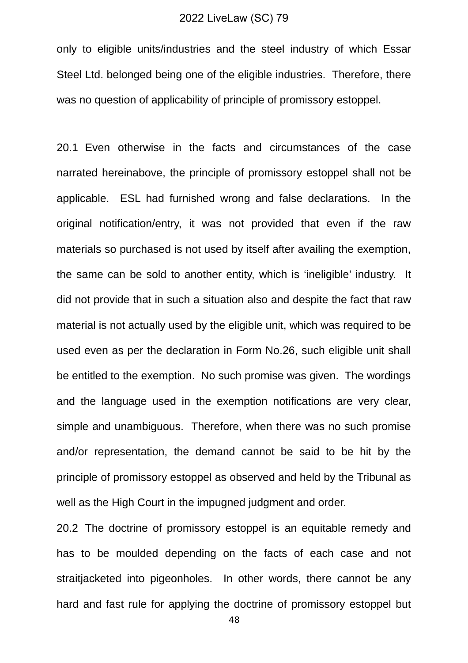only to eligible units/industries and the steel industry of which Essar Steel Ltd. belonged being one of the eligible industries. Therefore, there was no question of applicability of principle of promissory estoppel.

20.1 Even otherwise in the facts and circumstances of the case narrated hereinabove, the principle of promissory estoppel shall not be applicable. ESL had furnished wrong and false declarations. In the original notification/entry, it was not provided that even if the raw materials so purchased is not used by itself after availing the exemption, the same can be sold to another entity, which is 'ineligible' industry. It did not provide that in such a situation also and despite the fact that raw material is not actually used by the eligible unit, which was required to be used even as per the declaration in Form No.26, such eligible unit shall be entitled to the exemption. No such promise was given. The wordings and the language used in the exemption notifications are very clear, simple and unambiguous. Therefore, when there was no such promise and/or representation, the demand cannot be said to be hit by the principle of promissory estoppel as observed and held by the Tribunal as well as the High Court in the impugned judgment and order.

20.2 The doctrine of promissory estoppel is an equitable remedy and has to be moulded depending on the facts of each case and not straitjacketed into pigeonholes. In other words, there cannot be any hard and fast rule for applying the doctrine of promissory estoppel but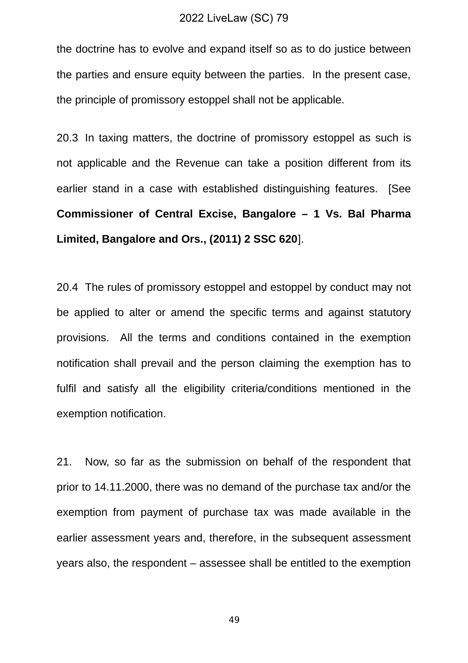the doctrine has to evolve and expand itself so as to do justice between the parties and ensure equity between the parties. In the present case, the principle of promissory estoppel shall not be applicable.

20.3 In taxing matters, the doctrine of promissory estoppel as such is not applicable and the Revenue can take a position different from its earlier stand in a case with established distinguishing features. [See **Commissioner of Central Excise, Bangalore – 1 Vs. Bal Pharma Limited, Bangalore and Ors., (2011) 2 SSC 620**].

20.4 The rules of promissory estoppel and estoppel by conduct may not be applied to alter or amend the specific terms and against statutory provisions. All the terms and conditions contained in the exemption notification shall prevail and the person claiming the exemption has to fulfil and satisfy all the eligibility criteria/conditions mentioned in the exemption notification.

21. Now, so far as the submission on behalf of the respondent that prior to 14.11.2000, there was no demand of the purchase tax and/or the exemption from payment of purchase tax was made available in the earlier assessment years and, therefore, in the subsequent assessment years also, the respondent – assessee shall be entitled to the exemption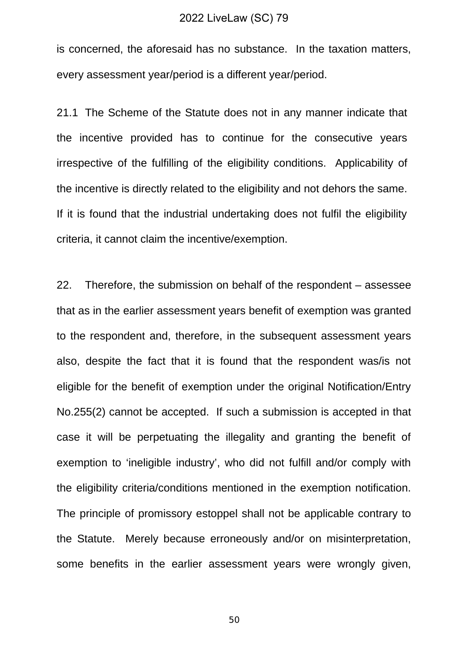is concerned, the aforesaid has no substance. In the taxation matters, every assessment year/period is a different year/period.

21.1 The Scheme of the Statute does not in any manner indicate that the incentive provided has to continue for the consecutive years irrespective of the fulfilling of the eligibility conditions. Applicability of the incentive is directly related to the eligibility and not dehors the same. If it is found that the industrial undertaking does not fulfil the eligibility criteria, it cannot claim the incentive/exemption.

22. Therefore, the submission on behalf of the respondent – assessee that as in the earlier assessment years benefit of exemption was granted to the respondent and, therefore, in the subsequent assessment years also, despite the fact that it is found that the respondent was/is not eligible for the benefit of exemption under the original Notification/Entry No.255(2) cannot be accepted. If such a submission is accepted in that case it will be perpetuating the illegality and granting the benefit of exemption to 'ineligible industry', who did not fulfill and/or comply with the eligibility criteria/conditions mentioned in the exemption notification. The principle of promissory estoppel shall not be applicable contrary to the Statute. Merely because erroneously and/or on misinterpretation, some benefits in the earlier assessment years were wrongly given,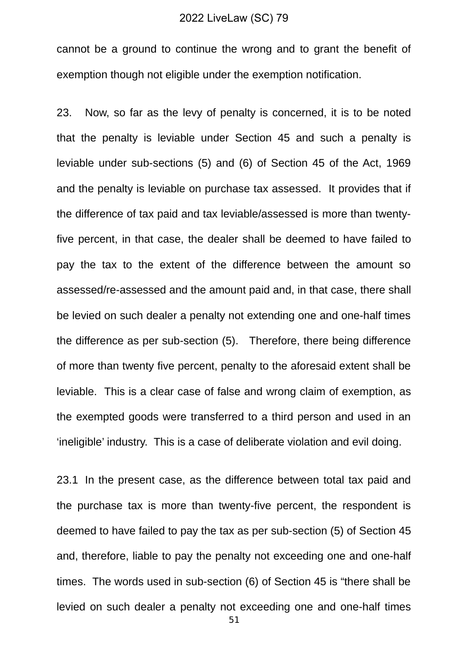cannot be a ground to continue the wrong and to grant the benefit of exemption though not eligible under the exemption notification.

23. Now, so far as the levy of penalty is concerned, it is to be noted that the penalty is leviable under Section 45 and such a penalty is leviable under sub-sections (5) and (6) of Section 45 of the Act, 1969 and the penalty is leviable on purchase tax assessed. It provides that if the difference of tax paid and tax leviable/assessed is more than twentyfive percent, in that case, the dealer shall be deemed to have failed to pay the tax to the extent of the difference between the amount so assessed/re-assessed and the amount paid and, in that case, there shall be levied on such dealer a penalty not extending one and one-half times the difference as per sub-section (5). Therefore, there being difference of more than twenty five percent, penalty to the aforesaid extent shall be leviable. This is a clear case of false and wrong claim of exemption, as the exempted goods were transferred to a third person and used in an 'ineligible' industry. This is a case of deliberate violation and evil doing.

23.1 In the present case, as the difference between total tax paid and the purchase tax is more than twenty-five percent, the respondent is deemed to have failed to pay the tax as per sub-section (5) of Section 45 and, therefore, liable to pay the penalty not exceeding one and one-half times. The words used in sub-section (6) of Section 45 is "there shall be levied on such dealer a penalty not exceeding one and one-half times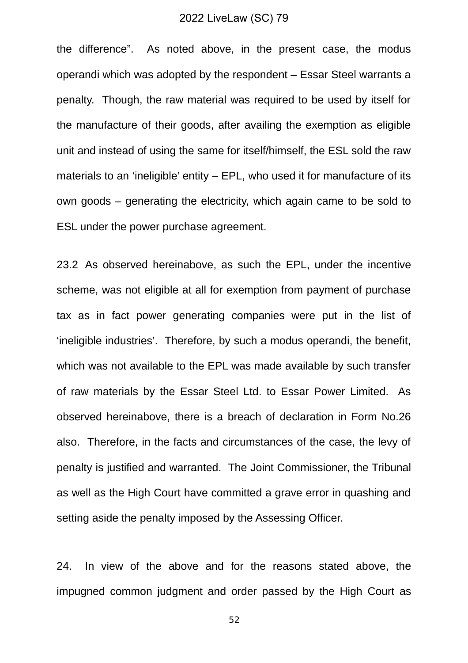the difference". As noted above, in the present case, the modus operandi which was adopted by the respondent – Essar Steel warrants a penalty. Though, the raw material was required to be used by itself for the manufacture of their goods, after availing the exemption as eligible unit and instead of using the same for itself/himself, the ESL sold the raw materials to an 'ineligible' entity – EPL, who used it for manufacture of its own goods – generating the electricity, which again came to be sold to ESL under the power purchase agreement.

23.2 As observed hereinabove, as such the EPL, under the incentive scheme, was not eligible at all for exemption from payment of purchase tax as in fact power generating companies were put in the list of 'ineligible industries'. Therefore, by such a modus operandi, the benefit, which was not available to the EPL was made available by such transfer of raw materials by the Essar Steel Ltd. to Essar Power Limited. As observed hereinabove, there is a breach of declaration in Form No.26 also. Therefore, in the facts and circumstances of the case, the levy of penalty is justified and warranted. The Joint Commissioner, the Tribunal as well as the High Court have committed a grave error in quashing and setting aside the penalty imposed by the Assessing Officer.

24. In view of the above and for the reasons stated above, the impugned common judgment and order passed by the High Court as